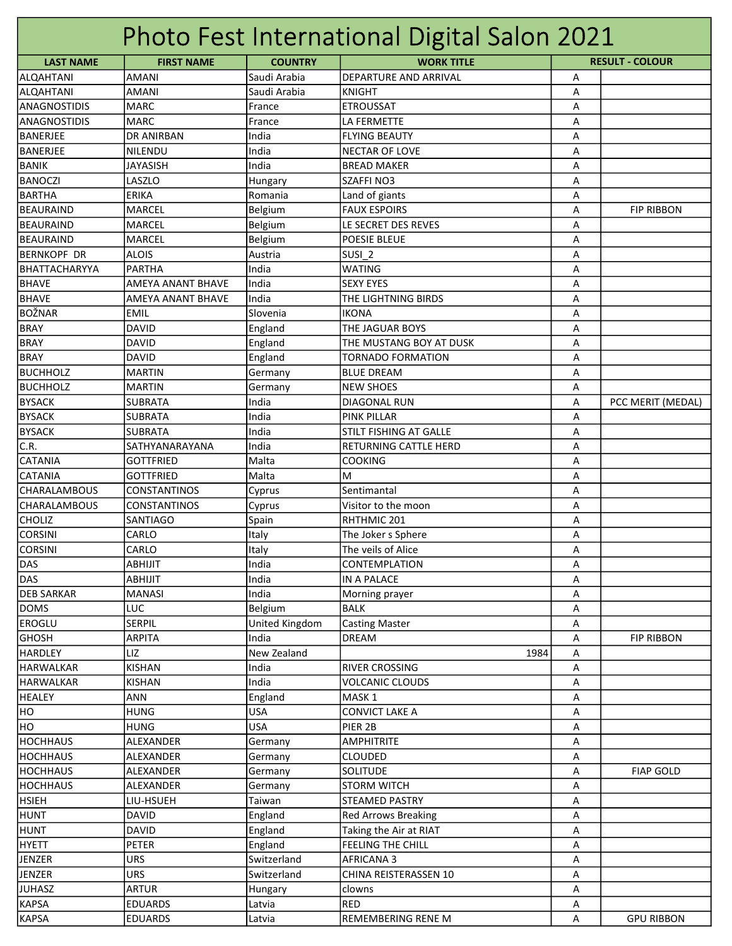|                                 |                           |                | Photo Fest International Digital Salon 2021         |   |                        |
|---------------------------------|---------------------------|----------------|-----------------------------------------------------|---|------------------------|
| <b>LAST NAME</b>                | <b>FIRST NAME</b>         | <b>COUNTRY</b> | <b>WORK TITLE</b>                                   |   | <b>RESULT - COLOUR</b> |
| <b>ALQAHTANI</b>                | <b>AMANI</b>              | Saudi Arabia   | <b>DEPARTURE AND ARRIVAL</b>                        | Α |                        |
| <b>ALQAHTANI</b>                | <b>AMANI</b>              | Saudi Arabia   | <b>KNIGHT</b>                                       | Α |                        |
| <b>ANAGNOSTIDIS</b>             | <b>MARC</b>               | France         | <b>ETROUSSAT</b>                                    | A |                        |
| <b>ANAGNOSTIDIS</b>             | <b>MARC</b>               | France         | LA FERMETTE                                         | А |                        |
| <b>BANERJEE</b>                 | <b>DR ANIRBAN</b>         | India          | lflying beauty                                      | Α |                        |
| BANERJEE                        | NILENDU                   | India          | NECTAR OF LOVE                                      | Α |                        |
| <b>BANIK</b>                    | <b>JAYASISH</b>           | India          | <b>BREAD MAKER</b>                                  | Α |                        |
| <b>BANOCZI</b>                  | LASZLO                    | Hungary        | <b>SZAFFINO3</b>                                    | Α |                        |
| <b>BARTHA</b>                   | <b>ERIKA</b>              | Romania        | Land of giants                                      | Α |                        |
| BEAURAIND                       | <b>MARCEL</b>             | Belgium        | <b>FAUX ESPOIRS</b>                                 | Α | <b>FIP RIBBON</b>      |
| <b>BEAURAIND</b>                | <b>MARCEL</b>             | Belgium        | LE SECRET DES REVES                                 | A |                        |
| BEAURAIND                       | MARCEL                    | Belgium        | <b>POESIE BLEUE</b>                                 | А |                        |
| <b>BERNKOPF DR</b>              | <b>ALOIS</b>              | Austria        | SUSI <sub>2</sub>                                   | А |                        |
| BHATTACHARYYA                   | <b>PARTHA</b>             | India          | WATING                                              | Α |                        |
| <b>BHAVE</b>                    | AMEYA ANANT BHAVE         | India          | <b>SEXY EYES</b>                                    | Α |                        |
| <b>BHAVE</b>                    | AMEYA ANANT BHAVE         | India          | THE LIGHTNING BIRDS                                 | Α |                        |
| BOŽNAR                          | <b>EMIL</b>               | Slovenia       | Iikona                                              | Α |                        |
| <b>BRAY</b>                     | <b>DAVID</b>              | England        | THE JAGUAR BOYS                                     | Α |                        |
| <b>BRAY</b>                     | <b>DAVID</b>              | England        | THE MUSTANG BOY AT DUSK                             | Α |                        |
| <b>BRAY</b>                     | <b>DAVID</b>              | England        | <b>TORNADO FORMATION</b>                            | Α |                        |
| <b>BUCHHOLZ</b>                 | <b>MARTIN</b>             | Germany        | <b>BLUE DREAM</b>                                   | Α |                        |
| <b>BUCHHOLZ</b>                 | <b>MARTIN</b>             | Germany        | <b>NEW SHOES</b>                                    | Α |                        |
| <b>BYSACK</b>                   | <b>SUBRATA</b>            | India          | <b>DIAGONAL RUN</b>                                 | A | PCC MERIT (MEDAL)      |
| <b>BYSACK</b>                   | <b>SUBRATA</b>            | India          | <b>PINK PILLAR</b>                                  | Α |                        |
| <b>BYSACK</b>                   | <b>SUBRATA</b>            | India          | STILT FISHING AT GALLE                              | Α |                        |
| C.R.                            | SATHYANARAYANA            | India          | RETURNING CATTLE HERD                               | Α |                        |
| <b>CATANIA</b>                  | <b>GOTTFRIED</b>          | Malta          | <b>COOKING</b>                                      | А |                        |
| <b>CATANIA</b>                  | <b>GOTTFRIED</b>          | Malta          | lм                                                  | Α |                        |
| <b>CHARALAMBOUS</b>             | CONSTANTINOS              | Cyprus         | Sentimantal                                         | A |                        |
| <b>CHARALAMBOUS</b>             | CONSTANTINOS              | Cyprus         | Visitor to the moon                                 | А |                        |
| <b>CHOLIZ</b>                   | SANTIAGO                  | Spain          | RHTHMIC 201                                         | Α |                        |
| <b>CORSINI</b>                  | CARLO                     | Italy          | The Joker s Sphere                                  | Α |                        |
| <b>CORSINI</b>                  | CARLO                     | Italy          | The veils of Alice                                  | А |                        |
| DAS                             | <b>ABHIJIT</b>            | India          | CONTEMPLATION                                       | A |                        |
| DAS                             | <b>ABHIJIT</b>            | India          | <b>IN A PALACE</b>                                  | Α |                        |
| <b>DEB SARKAR</b>               | <b>MANASI</b>             | India          | Morning prayer                                      | Α |                        |
| <b>DOMS</b>                     | LUC                       | Belgium        | <b>BALK</b>                                         | Α |                        |
| <b>EROGLU</b>                   | SERPIL                    | United Kingdom | <b>Casting Master</b>                               | Α |                        |
| <b>GHOSH</b>                    | ARPITA                    | India          | <b>DREAM</b>                                        | Α | <b>FIP RIBBON</b>      |
| <b>HARDLEY</b>                  | LIZ                       | New Zealand    | 1984                                                | Α |                        |
| <b>HARWALKAR</b>                | <b>KISHAN</b>             | India          | RIVER CROSSING                                      | Α |                        |
| <b>HARWALKAR</b>                | <b>KISHAN</b>             | India          | <b>VOLCANIC CLOUDS</b>                              | Α |                        |
| <b>HEALEY</b>                   | <b>ANN</b>                | England        | MASK <sub>1</sub>                                   | Α |                        |
| HO                              | <b>HUNG</b>               | <b>USA</b>     | <b>CONVICT LAKE A</b>                               | А |                        |
| HO                              | <b>HUNG</b>               | <b>USA</b>     | PIER 2B                                             | Α |                        |
| <b>HOCHHAUS</b>                 | ALEXANDER                 | Germany        | <b>AMPHITRITE</b>                                   | Α |                        |
| <b>HOCHHAUS</b>                 | ALEXANDER                 | Germany        | <b>CLOUDED</b>                                      | А |                        |
| <b>HOCHHAUS</b>                 | ALEXANDER                 |                | <b>SOLITUDE</b>                                     |   | <b>FIAP GOLD</b>       |
|                                 | ALEXANDER                 | Germany        |                                                     | Α |                        |
| <b>HOCHHAUS</b><br><b>HSIEH</b> |                           | Germany        | <b>STORM WITCH</b>                                  | Α |                        |
| <b>HUNT</b>                     | LIU-HSUEH<br><b>DAVID</b> | Taiwan         | <b>STEAMED PASTRY</b><br><b>Red Arrows Breaking</b> | Α |                        |
|                                 |                           | England        |                                                     | Α |                        |
| <b>HUNT</b>                     | <b>DAVID</b>              | England        | Taking the Air at RIAT                              | Α |                        |
| <b>HYETT</b>                    | <b>PETER</b>              | England        | <b>FEELING THE CHILL</b>                            | А |                        |
| JENZER                          | <b>URS</b>                | Switzerland    | AFRICANA 3                                          | Α |                        |
| <b>JENZER</b>                   | <b>URS</b>                | Switzerland    | CHINA REISTERASSEN 10                               | Α |                        |
| <b>JUHASZ</b>                   | <b>ARTUR</b>              | Hungary        | clowns                                              | Α |                        |
| <b>KAPSA</b>                    | <b>EDUARDS</b>            | Latvia         | <b>RED</b>                                          | Α |                        |
| <b>KAPSA</b>                    | <b>EDUARDS</b>            | Latvia         | <b>REMEMBERING RENE M</b>                           | А | <b>GPU RIBBON</b>      |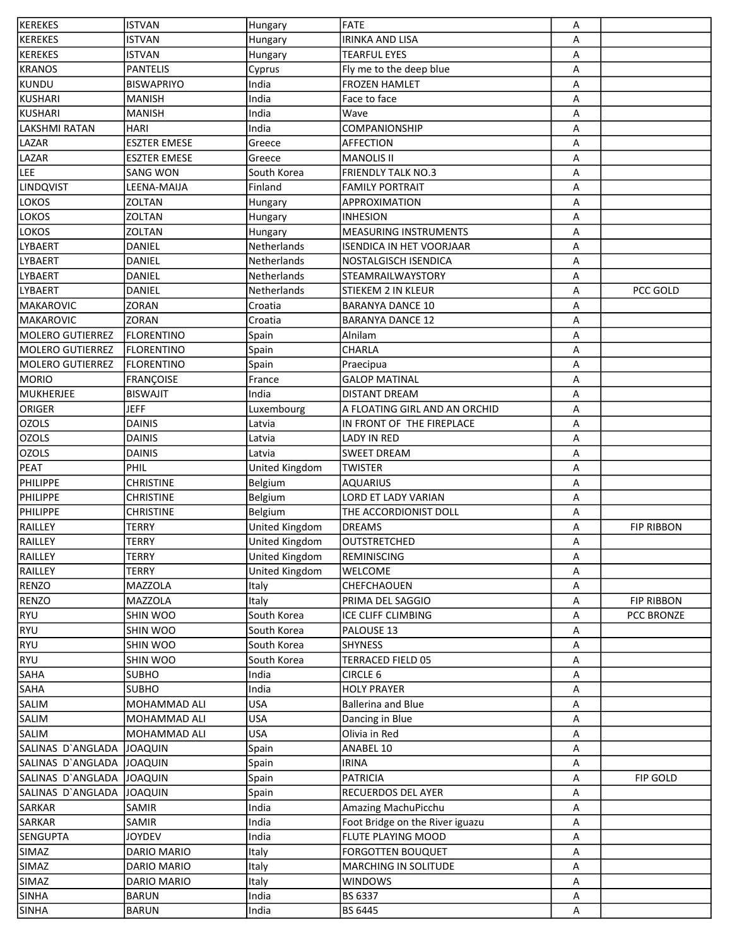| <b>KEREKES</b>          | <b>ISTVAN</b>       | Hungary        | FATE                            | Α |                   |
|-------------------------|---------------------|----------------|---------------------------------|---|-------------------|
| <b>KEREKES</b>          | ISTVAN              | Hungary        | <b>IRINKA AND LISA</b>          | Α |                   |
| <b>KEREKES</b>          | ISTVAN              | Hungary        | <b>TEARFUL EYES</b>             | Α |                   |
| <b>KRANOS</b>           | <b>PANTELIS</b>     | Cyprus         | Fly me to the deep blue         | Α |                   |
| KUNDU                   | <b>BISWAPRIYO</b>   | India          | <b>FROZEN HAMLET</b>            | Α |                   |
| KUSHARI                 | <b>MANISH</b>       | India          | Face to face                    | Α |                   |
| KUSHARI                 | <b>MANISH</b>       | India          | Wave                            | А |                   |
| <b>LAKSHMI RATAN</b>    | <b>HARI</b>         | India          | COMPANIONSHIP                   | Α |                   |
| LAZAR                   | <b>ESZTER EMESE</b> | Greece         | <b>AFFECTION</b>                | А |                   |
| LAZAR                   | <b>ESZTER EMESE</b> | Greece         | <b>MANOLIS II</b>               | Α |                   |
| <b>LEE</b>              | <b>SANG WON</b>     | South Korea    | <b>FRIENDLY TALK NO.3</b>       |   |                   |
|                         |                     |                |                                 | А |                   |
| LINDQVIST               | LEENA-MAIJA         | Finland        | <b>FAMILY PORTRAIT</b>          | Α |                   |
| <b>LOKOS</b>            | ZOLTAN              | Hungary        | APPROXIMATION                   | Α |                   |
| <b>LOKOS</b>            | <b>ZOLTAN</b>       | Hungary        | <b>INHESION</b>                 | Α |                   |
| <b>LOKOS</b>            | ZOLTAN              | Hungary        | <b>MEASURING INSTRUMENTS</b>    | Α |                   |
| <b>LYBAERT</b>          | DANIEL              | Netherlands    | <b>ISENDICA IN HET VOORJAAR</b> | A |                   |
| <b>LYBAERT</b>          | DANIEL              | Netherlands    | <b>NOSTALGISCH ISENDICA</b>     | Α |                   |
| LYBAERT                 | DANIEL              | Netherlands    | STEAMRAILWAYSTORY               | Α |                   |
| <b>LYBAERT</b>          | DANIEL              | Netherlands    | STIEKEM 2 IN KLEUR              | Α | PCC GOLD          |
| MAKAROVIC               | <b>ZORAN</b>        | Croatia        | <b>BARANYA DANCE 10</b>         | Α |                   |
| MAKAROVIC               | ZORAN               | Croatia        | <b>BARANYA DANCE 12</b>         | Α |                   |
| <b>MOLERO GUTIERREZ</b> | <b>FLORENTINO</b>   | Spain          | Alnilam                         | Α |                   |
| MOLERO GUTIERREZ        | <b>FLORENTINO</b>   | Spain          | <b>CHARLA</b>                   | Α |                   |
| MOLERO GUTIERREZ        | <b>FLORENTINO</b>   | Spain          | Praecipua                       | А |                   |
| MORIO                   | FRANÇOISE           | France         | <b>GALOP MATINAL</b>            | Α |                   |
| MUKHERJEE               | <b>BISWAJIT</b>     | India          | <b>DISTANT DREAM</b>            | Α |                   |
| ORIGER                  | <b>JEFF</b>         |                | A FLOATING GIRL AND AN ORCHID   |   |                   |
|                         |                     | Luxembourg     |                                 | Α |                   |
| <b>OZOLS</b>            | <b>DAINIS</b>       | Latvia         | IN FRONT OF THE FIREPLACE       | Α |                   |
| <b>OZOLS</b>            | <b>DAINIS</b>       | Latvia         | <b>LADY IN RED</b>              | Α |                   |
| <b>OZOLS</b>            | <b>DAINIS</b>       | Latvia         | <b>SWEET DREAM</b>              | Α |                   |
| PEAT                    | PHIL                | United Kingdom | <b>TWISTER</b>                  | Α |                   |
| <b>PHILIPPE</b>         | <b>CHRISTINE</b>    | Belgium        | <b>AQUARIUS</b>                 | А |                   |
| <b>PHILIPPE</b>         | <b>CHRISTINE</b>    | Belgium        | LORD ET LADY VARIAN             | А |                   |
| <b>PHILIPPE</b>         | <b>CHRISTINE</b>    | Belgium        | THE ACCORDIONIST DOLL           | Α |                   |
| RAILLEY                 | TERRY               | United Kingdom | <b>DREAMS</b>                   | Α | <b>FIP RIBBON</b> |
| RAILLEY                 | <b>TERRY</b>        | United Kingdom | <b>OUTSTRETCHED</b>             | А |                   |
| RAILLEY                 | TERRY               | United Kingdom | <b>REMINISCING</b>              | Α |                   |
| <b>RAILLEY</b>          | TERRY               | United Kingdom | <b>WELCOME</b>                  | Α |                   |
| RENZO                   | <b>MAZZOLA</b>      | Italy          | CHEFCHAOUEN                     | Α |                   |
| <b>RENZO</b>            | MAZZOLA             | Italy          | PRIMA DEL SAGGIO                | Α | <b>FIP RIBBON</b> |
| RYU                     | SHIN WOO            | South Korea    | ICE CLIFF CLIMBING              | Α | PCC BRONZE        |
| RYU                     | SHIN WOO            | South Korea    | PALOUSE 13                      | Α |                   |
| RYU                     | SHIN WOO            | South Korea    | <b>SHYNESS</b>                  | Α |                   |
| RYU                     | SHIN WOO            | South Korea    | TERRACED FIELD 05               | Α |                   |
| SAHA                    | <b>SUBHO</b>        | India          | <b>CIRCLE 6</b>                 | Α |                   |
| <b>SAHA</b>             | <b>SUBHO</b>        | India          | <b>HOLY PRAYER</b>              | Α |                   |
| <b>SALIM</b>            | MOHAMMAD ALI        | <b>USA</b>     | <b>Ballerina and Blue</b>       | Α |                   |
|                         |                     |                |                                 |   |                   |
| <b>SALIM</b>            | MOHAMMAD ALI        | <b>USA</b>     | Dancing in Blue                 | Α |                   |
| SALIM                   | MOHAMMAD ALI        | <b>USA</b>     | Olivia in Red                   | Α |                   |
| SALINAS D'ANGLADA       | <b>JOAQUIN</b>      | Spain          | ANABEL 10                       | Α |                   |
| SALINAS D'ANGLADA       | <b>JOAQUIN</b>      | Spain          | <b>IRINA</b>                    | Α |                   |
| SALINAS D'ANGLADA       | JOAQUIN             | Spain          | PATRICIA                        | А | FIP GOLD          |
| SALINAS D'ANGLADA       | JOAQUIN             | Spain          | <b>RECUERDOS DEL AYER</b>       | Α |                   |
| SARKAR                  | SAMIR               | India          | Amazing MachuPicchu             | Α |                   |
| SARKAR                  | SAMIR               | India          | Foot Bridge on the River iguazu | Α |                   |
| <b>SENGUPTA</b>         | <b>JOYDEV</b>       | India          | <b>FLUTE PLAYING MOOD</b>       | Α |                   |
| SIMAZ                   | DARIO MARIO         | Italy          | <b>FORGOTTEN BOUQUET</b>        | Α |                   |
| <b>SIMAZ</b>            | DARIO MARIO         | Italy          | <b>MARCHING IN SOLITUDE</b>     | Α |                   |
| <b>SIMAZ</b>            | DARIO MARIO         | Italy          | <b>WINDOWS</b>                  | Α |                   |
| <b>SINHA</b>            | <b>BARUN</b>        | India          | BS 6337                         | Α |                   |
| <b>SINHA</b>            | <b>BARUN</b>        | India          | BS 6445                         | Α |                   |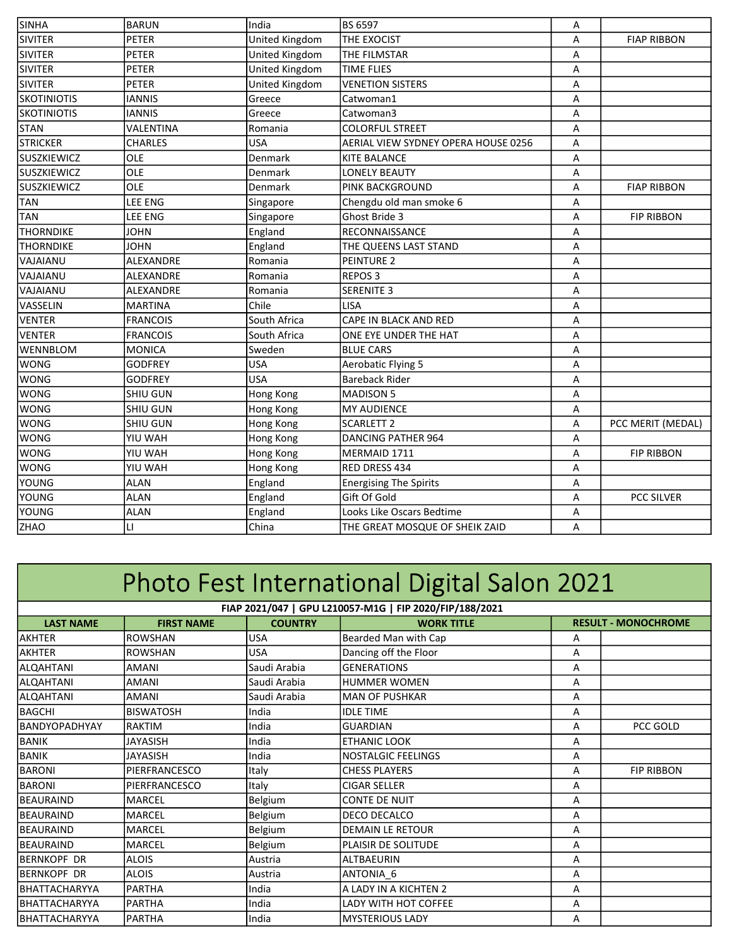| <b>SIVITER</b><br><b>PETER</b><br>United Kingdom<br>THE EXOCIST<br><b>FIAP RIBBON</b><br>Α<br><b>SIVITER</b><br><b>PETER</b><br>United Kingdom<br>THE FILMSTAR<br>А<br>United Kingdom<br><b>SIVITER</b><br><b>TIME FLIES</b><br><b>PETER</b><br>Α<br>United Kingdom<br><b>SIVITER</b><br><b>PETER</b><br><b>VENETION SISTERS</b><br>А<br><b>IANNIS</b><br>А<br>Greece<br>Catwoman1<br><b>IANNIS</b><br>Catwoman3<br>А<br>Greece<br>VALENTINA<br><b>COLORFUL STREET</b><br>А<br>Romania<br><b>USA</b><br><b>CHARLES</b><br>AERIAL VIEW SYDNEY OPERA HOUSE 0256<br>А<br>OLE<br>Denmark<br><b>KITE BALANCE</b><br>А<br>OLE<br><b>LONELY BEAUTY</b><br>А<br>Denmark<br>OLE<br><b>PINK BACKGROUND</b><br>А<br><b>FIAP RIBBON</b><br>Denmark<br>LEE ENG<br>Chengdu old man smoke 6<br>Α<br>Singapore<br>LEE ENG<br>Ghost Bride 3<br><b>FIP RIBBON</b><br>A<br>Singapore<br><b>JOHN</b><br>England<br>RECONNAISSANCE<br>А<br><b>JOHN</b><br>А<br>England<br>THE QUEENS LAST STAND<br><b>ALEXANDRE</b><br>Romania<br><b>PEINTURE 2</b><br>Α<br><b>ALEXANDRE</b><br>Romania<br><b>REPOS3</b><br>Α<br>SERENITE 3<br><b>ALEXANDRE</b><br>Romania<br>A<br><b>MARTINA</b><br>Chile<br><b>LISA</b><br>Α<br>South Africa<br>CAPE IN BLACK AND RED<br><b>FRANCOIS</b><br>Α<br>South Africa<br>ONE EYE UNDER THE HAT<br><b>FRANCOIS</b><br>A<br><b>MONICA</b><br>Sweden<br><b>BLUE CARS</b><br>A<br><b>GODFREY</b><br><b>USA</b><br><b>Aerobatic Flying 5</b><br>Α<br><b>USA</b><br><b>Bareback Rider</b><br><b>GODFREY</b><br>Α<br><b>SHIU GUN</b><br>MADISON 5<br>А<br>Hong Kong<br><b>SHIU GUN</b><br><b>MY AUDIENCE</b><br>А<br>Hong Kong<br><b>SCARLETT 2</b><br>PCC MERIT (MEDAL)<br><b>SHIU GUN</b><br>А<br>Hong Kong<br>YIU WAH<br>DANCING PATHER 964<br>А<br>Hong Kong<br>YIU WAH<br>Hong Kong<br>MERMAID 1711<br>А<br><b>FIP RIBBON</b><br>YIU WAH<br>A<br>RED DRESS 434<br>Hong Kong<br><b>ALAN</b><br>England<br><b>Energising The Spirits</b><br>Α<br>Gift Of Gold<br>A<br><b>ALAN</b><br>England<br><b>PCC SILVER</b><br>England<br>Looks Like Oscars Bedtime<br><b>ALAN</b><br>А<br>LI<br>China<br>A<br>THE GREAT MOSQUE OF SHEIK ZAID | <b>SINHA</b>       | <b>BARUN</b> | India | <b>BS 6597</b> |   |  |
|--------------------------------------------------------------------------------------------------------------------------------------------------------------------------------------------------------------------------------------------------------------------------------------------------------------------------------------------------------------------------------------------------------------------------------------------------------------------------------------------------------------------------------------------------------------------------------------------------------------------------------------------------------------------------------------------------------------------------------------------------------------------------------------------------------------------------------------------------------------------------------------------------------------------------------------------------------------------------------------------------------------------------------------------------------------------------------------------------------------------------------------------------------------------------------------------------------------------------------------------------------------------------------------------------------------------------------------------------------------------------------------------------------------------------------------------------------------------------------------------------------------------------------------------------------------------------------------------------------------------------------------------------------------------------------------------------------------------------------------------------------------------------------------------------------------------------------------------------------------------------------------------------------------------------------------------------------------------------------------------------------------------------------------------------------------------------------------------------------------------------------------|--------------------|--------------|-------|----------------|---|--|
|                                                                                                                                                                                                                                                                                                                                                                                                                                                                                                                                                                                                                                                                                                                                                                                                                                                                                                                                                                                                                                                                                                                                                                                                                                                                                                                                                                                                                                                                                                                                                                                                                                                                                                                                                                                                                                                                                                                                                                                                                                                                                                                                      |                    |              |       |                | Α |  |
|                                                                                                                                                                                                                                                                                                                                                                                                                                                                                                                                                                                                                                                                                                                                                                                                                                                                                                                                                                                                                                                                                                                                                                                                                                                                                                                                                                                                                                                                                                                                                                                                                                                                                                                                                                                                                                                                                                                                                                                                                                                                                                                                      |                    |              |       |                |   |  |
|                                                                                                                                                                                                                                                                                                                                                                                                                                                                                                                                                                                                                                                                                                                                                                                                                                                                                                                                                                                                                                                                                                                                                                                                                                                                                                                                                                                                                                                                                                                                                                                                                                                                                                                                                                                                                                                                                                                                                                                                                                                                                                                                      |                    |              |       |                |   |  |
|                                                                                                                                                                                                                                                                                                                                                                                                                                                                                                                                                                                                                                                                                                                                                                                                                                                                                                                                                                                                                                                                                                                                                                                                                                                                                                                                                                                                                                                                                                                                                                                                                                                                                                                                                                                                                                                                                                                                                                                                                                                                                                                                      |                    |              |       |                |   |  |
|                                                                                                                                                                                                                                                                                                                                                                                                                                                                                                                                                                                                                                                                                                                                                                                                                                                                                                                                                                                                                                                                                                                                                                                                                                                                                                                                                                                                                                                                                                                                                                                                                                                                                                                                                                                                                                                                                                                                                                                                                                                                                                                                      |                    |              |       |                |   |  |
|                                                                                                                                                                                                                                                                                                                                                                                                                                                                                                                                                                                                                                                                                                                                                                                                                                                                                                                                                                                                                                                                                                                                                                                                                                                                                                                                                                                                                                                                                                                                                                                                                                                                                                                                                                                                                                                                                                                                                                                                                                                                                                                                      | <b>SKOTINIOTIS</b> |              |       |                |   |  |
|                                                                                                                                                                                                                                                                                                                                                                                                                                                                                                                                                                                                                                                                                                                                                                                                                                                                                                                                                                                                                                                                                                                                                                                                                                                                                                                                                                                                                                                                                                                                                                                                                                                                                                                                                                                                                                                                                                                                                                                                                                                                                                                                      | <b>SKOTINIOTIS</b> |              |       |                |   |  |
|                                                                                                                                                                                                                                                                                                                                                                                                                                                                                                                                                                                                                                                                                                                                                                                                                                                                                                                                                                                                                                                                                                                                                                                                                                                                                                                                                                                                                                                                                                                                                                                                                                                                                                                                                                                                                                                                                                                                                                                                                                                                                                                                      | <b>STAN</b>        |              |       |                |   |  |
|                                                                                                                                                                                                                                                                                                                                                                                                                                                                                                                                                                                                                                                                                                                                                                                                                                                                                                                                                                                                                                                                                                                                                                                                                                                                                                                                                                                                                                                                                                                                                                                                                                                                                                                                                                                                                                                                                                                                                                                                                                                                                                                                      | <b>STRICKER</b>    |              |       |                |   |  |
|                                                                                                                                                                                                                                                                                                                                                                                                                                                                                                                                                                                                                                                                                                                                                                                                                                                                                                                                                                                                                                                                                                                                                                                                                                                                                                                                                                                                                                                                                                                                                                                                                                                                                                                                                                                                                                                                                                                                                                                                                                                                                                                                      | <b>SUSZKIEWICZ</b> |              |       |                |   |  |
|                                                                                                                                                                                                                                                                                                                                                                                                                                                                                                                                                                                                                                                                                                                                                                                                                                                                                                                                                                                                                                                                                                                                                                                                                                                                                                                                                                                                                                                                                                                                                                                                                                                                                                                                                                                                                                                                                                                                                                                                                                                                                                                                      | <b>SUSZKIEWICZ</b> |              |       |                |   |  |
|                                                                                                                                                                                                                                                                                                                                                                                                                                                                                                                                                                                                                                                                                                                                                                                                                                                                                                                                                                                                                                                                                                                                                                                                                                                                                                                                                                                                                                                                                                                                                                                                                                                                                                                                                                                                                                                                                                                                                                                                                                                                                                                                      | <b>SUSZKIEWICZ</b> |              |       |                |   |  |
|                                                                                                                                                                                                                                                                                                                                                                                                                                                                                                                                                                                                                                                                                                                                                                                                                                                                                                                                                                                                                                                                                                                                                                                                                                                                                                                                                                                                                                                                                                                                                                                                                                                                                                                                                                                                                                                                                                                                                                                                                                                                                                                                      | <b>TAN</b>         |              |       |                |   |  |
|                                                                                                                                                                                                                                                                                                                                                                                                                                                                                                                                                                                                                                                                                                                                                                                                                                                                                                                                                                                                                                                                                                                                                                                                                                                                                                                                                                                                                                                                                                                                                                                                                                                                                                                                                                                                                                                                                                                                                                                                                                                                                                                                      | <b>TAN</b>         |              |       |                |   |  |
|                                                                                                                                                                                                                                                                                                                                                                                                                                                                                                                                                                                                                                                                                                                                                                                                                                                                                                                                                                                                                                                                                                                                                                                                                                                                                                                                                                                                                                                                                                                                                                                                                                                                                                                                                                                                                                                                                                                                                                                                                                                                                                                                      | <b>THORNDIKE</b>   |              |       |                |   |  |
|                                                                                                                                                                                                                                                                                                                                                                                                                                                                                                                                                                                                                                                                                                                                                                                                                                                                                                                                                                                                                                                                                                                                                                                                                                                                                                                                                                                                                                                                                                                                                                                                                                                                                                                                                                                                                                                                                                                                                                                                                                                                                                                                      | <b>THORNDIKE</b>   |              |       |                |   |  |
|                                                                                                                                                                                                                                                                                                                                                                                                                                                                                                                                                                                                                                                                                                                                                                                                                                                                                                                                                                                                                                                                                                                                                                                                                                                                                                                                                                                                                                                                                                                                                                                                                                                                                                                                                                                                                                                                                                                                                                                                                                                                                                                                      | VAJAIANU           |              |       |                |   |  |
|                                                                                                                                                                                                                                                                                                                                                                                                                                                                                                                                                                                                                                                                                                                                                                                                                                                                                                                                                                                                                                                                                                                                                                                                                                                                                                                                                                                                                                                                                                                                                                                                                                                                                                                                                                                                                                                                                                                                                                                                                                                                                                                                      | VAJAIANU           |              |       |                |   |  |
|                                                                                                                                                                                                                                                                                                                                                                                                                                                                                                                                                                                                                                                                                                                                                                                                                                                                                                                                                                                                                                                                                                                                                                                                                                                                                                                                                                                                                                                                                                                                                                                                                                                                                                                                                                                                                                                                                                                                                                                                                                                                                                                                      | VAJAIANU           |              |       |                |   |  |
|                                                                                                                                                                                                                                                                                                                                                                                                                                                                                                                                                                                                                                                                                                                                                                                                                                                                                                                                                                                                                                                                                                                                                                                                                                                                                                                                                                                                                                                                                                                                                                                                                                                                                                                                                                                                                                                                                                                                                                                                                                                                                                                                      | VASSELIN           |              |       |                |   |  |
|                                                                                                                                                                                                                                                                                                                                                                                                                                                                                                                                                                                                                                                                                                                                                                                                                                                                                                                                                                                                                                                                                                                                                                                                                                                                                                                                                                                                                                                                                                                                                                                                                                                                                                                                                                                                                                                                                                                                                                                                                                                                                                                                      | <b>VENTER</b>      |              |       |                |   |  |
|                                                                                                                                                                                                                                                                                                                                                                                                                                                                                                                                                                                                                                                                                                                                                                                                                                                                                                                                                                                                                                                                                                                                                                                                                                                                                                                                                                                                                                                                                                                                                                                                                                                                                                                                                                                                                                                                                                                                                                                                                                                                                                                                      | VENTER             |              |       |                |   |  |
|                                                                                                                                                                                                                                                                                                                                                                                                                                                                                                                                                                                                                                                                                                                                                                                                                                                                                                                                                                                                                                                                                                                                                                                                                                                                                                                                                                                                                                                                                                                                                                                                                                                                                                                                                                                                                                                                                                                                                                                                                                                                                                                                      | <b>WENNBLOM</b>    |              |       |                |   |  |
|                                                                                                                                                                                                                                                                                                                                                                                                                                                                                                                                                                                                                                                                                                                                                                                                                                                                                                                                                                                                                                                                                                                                                                                                                                                                                                                                                                                                                                                                                                                                                                                                                                                                                                                                                                                                                                                                                                                                                                                                                                                                                                                                      | <b>WONG</b>        |              |       |                |   |  |
|                                                                                                                                                                                                                                                                                                                                                                                                                                                                                                                                                                                                                                                                                                                                                                                                                                                                                                                                                                                                                                                                                                                                                                                                                                                                                                                                                                                                                                                                                                                                                                                                                                                                                                                                                                                                                                                                                                                                                                                                                                                                                                                                      | <b>WONG</b>        |              |       |                |   |  |
|                                                                                                                                                                                                                                                                                                                                                                                                                                                                                                                                                                                                                                                                                                                                                                                                                                                                                                                                                                                                                                                                                                                                                                                                                                                                                                                                                                                                                                                                                                                                                                                                                                                                                                                                                                                                                                                                                                                                                                                                                                                                                                                                      | <b>WONG</b>        |              |       |                |   |  |
|                                                                                                                                                                                                                                                                                                                                                                                                                                                                                                                                                                                                                                                                                                                                                                                                                                                                                                                                                                                                                                                                                                                                                                                                                                                                                                                                                                                                                                                                                                                                                                                                                                                                                                                                                                                                                                                                                                                                                                                                                                                                                                                                      | <b>WONG</b>        |              |       |                |   |  |
|                                                                                                                                                                                                                                                                                                                                                                                                                                                                                                                                                                                                                                                                                                                                                                                                                                                                                                                                                                                                                                                                                                                                                                                                                                                                                                                                                                                                                                                                                                                                                                                                                                                                                                                                                                                                                                                                                                                                                                                                                                                                                                                                      | <b>WONG</b>        |              |       |                |   |  |
|                                                                                                                                                                                                                                                                                                                                                                                                                                                                                                                                                                                                                                                                                                                                                                                                                                                                                                                                                                                                                                                                                                                                                                                                                                                                                                                                                                                                                                                                                                                                                                                                                                                                                                                                                                                                                                                                                                                                                                                                                                                                                                                                      | <b>WONG</b>        |              |       |                |   |  |
|                                                                                                                                                                                                                                                                                                                                                                                                                                                                                                                                                                                                                                                                                                                                                                                                                                                                                                                                                                                                                                                                                                                                                                                                                                                                                                                                                                                                                                                                                                                                                                                                                                                                                                                                                                                                                                                                                                                                                                                                                                                                                                                                      | <b>WONG</b>        |              |       |                |   |  |
|                                                                                                                                                                                                                                                                                                                                                                                                                                                                                                                                                                                                                                                                                                                                                                                                                                                                                                                                                                                                                                                                                                                                                                                                                                                                                                                                                                                                                                                                                                                                                                                                                                                                                                                                                                                                                                                                                                                                                                                                                                                                                                                                      | <b>WONG</b>        |              |       |                |   |  |
|                                                                                                                                                                                                                                                                                                                                                                                                                                                                                                                                                                                                                                                                                                                                                                                                                                                                                                                                                                                                                                                                                                                                                                                                                                                                                                                                                                                                                                                                                                                                                                                                                                                                                                                                                                                                                                                                                                                                                                                                                                                                                                                                      | <b>YOUNG</b>       |              |       |                |   |  |
|                                                                                                                                                                                                                                                                                                                                                                                                                                                                                                                                                                                                                                                                                                                                                                                                                                                                                                                                                                                                                                                                                                                                                                                                                                                                                                                                                                                                                                                                                                                                                                                                                                                                                                                                                                                                                                                                                                                                                                                                                                                                                                                                      | YOUNG              |              |       |                |   |  |
|                                                                                                                                                                                                                                                                                                                                                                                                                                                                                                                                                                                                                                                                                                                                                                                                                                                                                                                                                                                                                                                                                                                                                                                                                                                                                                                                                                                                                                                                                                                                                                                                                                                                                                                                                                                                                                                                                                                                                                                                                                                                                                                                      | YOUNG              |              |       |                |   |  |
|                                                                                                                                                                                                                                                                                                                                                                                                                                                                                                                                                                                                                                                                                                                                                                                                                                                                                                                                                                                                                                                                                                                                                                                                                                                                                                                                                                                                                                                                                                                                                                                                                                                                                                                                                                                                                                                                                                                                                                                                                                                                                                                                      | <b>ZHAO</b>        |              |       |                |   |  |

## Photo Fest International Digital Salon 2021

| FIAP 2021/047   GPU L210057-M1G   FIP 2020/FIP/188/2021 |                   |                |                           |   |                            |  |  |  |
|---------------------------------------------------------|-------------------|----------------|---------------------------|---|----------------------------|--|--|--|
| <b>LAST NAME</b>                                        | <b>FIRST NAME</b> | <b>COUNTRY</b> | <b>WORK TITLE</b>         |   | <b>RESULT - MONOCHROME</b> |  |  |  |
| AKHTER                                                  | <b>ROWSHAN</b>    | <b>USA</b>     | Bearded Man with Cap      | Α |                            |  |  |  |
| <b>AKHTER</b>                                           | <b>ROWSHAN</b>    | <b>USA</b>     | Dancing off the Floor     | A |                            |  |  |  |
| ALQAHTANI                                               | <b>AMANI</b>      | Saudi Arabia   | <b>GENERATIONS</b>        | A |                            |  |  |  |
| ALQAHTANI                                               | <b>AMANI</b>      | Saudi Arabia   | <b>HUMMER WOMEN</b>       | A |                            |  |  |  |
| ALQAHTANI                                               | <b>AMANI</b>      | Saudi Arabia   | <b>MAN OF PUSHKAR</b>     | A |                            |  |  |  |
| <b>BAGCHI</b>                                           | <b>BISWATOSH</b>  | India          | <b>IDLE TIME</b>          | A |                            |  |  |  |
| BANDYOPADHYAY                                           | <b>RAKTIM</b>     | India          | <b>GUARDIAN</b>           | A | PCC GOLD                   |  |  |  |
| <b>BANIK</b>                                            | <b>JAYASISH</b>   | India          | ETHANIC LOOK              | Α |                            |  |  |  |
| BANIK                                                   | <b>JAYASISH</b>   | India          | <b>NOSTALGIC FEELINGS</b> | A |                            |  |  |  |
| <b>BARONI</b>                                           | PIERFRANCESCO     | Italy          | <b>CHESS PLAYERS</b>      | A | <b>FIP RIBBON</b>          |  |  |  |
| <b>BARONI</b>                                           | PIERFRANCESCO     | Italy          | <b>CIGAR SELLER</b>       | Α |                            |  |  |  |
| <b>BEAURAIND</b>                                        | <b>MARCEL</b>     | Belgium        | <b>CONTE DE NUIT</b>      | A |                            |  |  |  |
| <b>BEAURAIND</b>                                        | MARCEL            | Belgium        | DECO DECALCO              | Α |                            |  |  |  |
| <b>BEAURAIND</b>                                        | <b>MARCEL</b>     | Belgium        | <b>DEMAIN LE RETOUR</b>   | Α |                            |  |  |  |
| <b>BEAURAIND</b>                                        | <b>MARCEL</b>     | Belgium        | PLAISIR DE SOLITUDE       | A |                            |  |  |  |
| BERNKOPF DR                                             | <b>ALOIS</b>      | Austria        | <b>ALTBAEURIN</b>         | A |                            |  |  |  |
| BERNKOPF DR                                             | <b>ALOIS</b>      | Austria        | ANTONIA 6                 | A |                            |  |  |  |
| BHATTACHARYYA                                           | <b>PARTHA</b>     | India          | A LADY IN A KICHTEN 2     | A |                            |  |  |  |
| BHATTACHARYYA                                           | <b>PARTHA</b>     | India          | LADY WITH HOT COFFEE      | Α |                            |  |  |  |
| <b>BHATTACHARYYA</b>                                    | <b>PARTHA</b>     | India          | <b>MYSTERIOUS LADY</b>    | A |                            |  |  |  |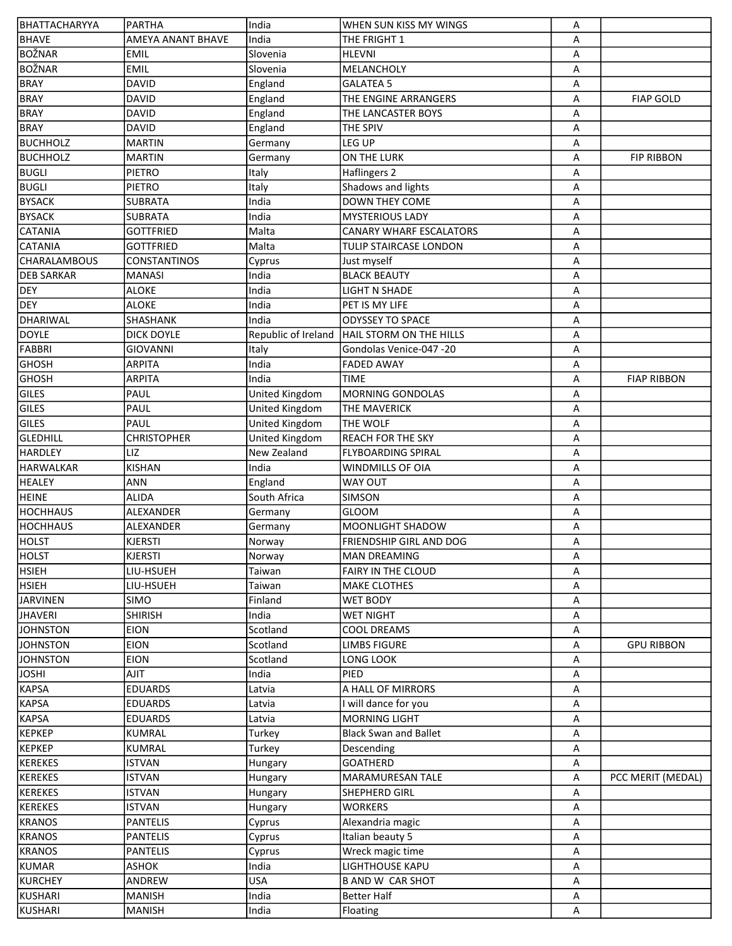| BHATTACHARYYA       | PARTHA              | India               | WHEN SUN KISS MY WINGS         | А |                    |
|---------------------|---------------------|---------------------|--------------------------------|---|--------------------|
| <b>BHAVE</b>        | AMEYA ANANT BHAVE   | India               | THE FRIGHT 1                   | A |                    |
| <b>BOŽNAR</b>       | <b>EMIL</b>         | Slovenia            | <b>HLEVNI</b>                  | А |                    |
| <b>BOŽNAR</b>       | <b>EMIL</b>         | Slovenia            | MELANCHOLY                     | А |                    |
| <b>BRAY</b>         | <b>DAVID</b>        | England             | <b>GALATEA 5</b>               | А |                    |
| <b>BRAY</b>         | <b>DAVID</b>        | England             | THE ENGINE ARRANGERS           | А | <b>FIAP GOLD</b>   |
| <b>BRAY</b>         | <b>DAVID</b>        | England             | THE LANCASTER BOYS             | Α |                    |
| <b>BRAY</b>         | <b>DAVID</b>        | England             | <b>THE SPIV</b>                | А |                    |
| <b>BUCHHOLZ</b>     | <b>MARTIN</b>       | Germany             | LEG UP                         | А |                    |
| <b>BUCHHOLZ</b>     | <b>MARTIN</b>       | Germany             | ON THE LURK                    | А | <b>FIP RIBBON</b>  |
| <b>BUGLI</b>        | PIETRO              | Italy               | Haflingers 2                   | А |                    |
| <b>BUGLI</b>        | PIETRO              | Italy               | Shadows and lights             | А |                    |
| <b>BYSACK</b>       | <b>SUBRATA</b>      | India               | <b>DOWN THEY COME</b>          | А |                    |
| <b>BYSACK</b>       | <b>SUBRATA</b>      | India               | <b>MYSTERIOUS LADY</b>         | А |                    |
| <b>CATANIA</b>      | <b>GOTTFRIED</b>    | Malta               | <b>CANARY WHARF ESCALATORS</b> | А |                    |
| <b>CATANIA</b>      | <b>GOTTFRIED</b>    | Malta               | <b>TULIP STAIRCASE LONDON</b>  | A |                    |
| <b>CHARALAMBOUS</b> | <b>CONSTANTINOS</b> | Cyprus              | Just myself                    | А |                    |
| <b>DEB SARKAR</b>   | <b>MANASI</b>       | India               | <b>BLACK BEAUTY</b>            | A |                    |
| <b>DEY</b>          | <b>ALOKE</b>        | India               | <b>LIGHT N SHADE</b>           | А |                    |
| <b>DEY</b>          | <b>ALOKE</b>        | India               | PET IS MY LIFE                 | А |                    |
| DHARIWAL            | SHASHANK            | India               | <b>ODYSSEY TO SPACE</b>        | А |                    |
| DOYLE               | <b>DICK DOYLE</b>   | Republic of Ireland | HAIL STORM ON THE HILLS        | А |                    |
| FABBRI              | <b>GIOVANNI</b>     | Italy               | Gondolas Venice-047 -20        | А |                    |
| <b>GHOSH</b>        | <b>ARPITA</b>       | India               | <b>FADED AWAY</b>              |   |                    |
| <b>GHOSH</b>        |                     | India               | ltime                          | А |                    |
| GILES               | <b>ARPITA</b>       |                     | MORNING GONDOLAS               | А | <b>FIAP RIBBON</b> |
|                     | PAUL                | United Kingdom      |                                | А |                    |
| GILES               | PAUL                | United Kingdom      | <b>THE MAVERICK</b>            | А |                    |
| GILES               | PAUL                | United Kingdom      | <b>THE WOLF</b>                | А |                    |
| <b>GLEDHILL</b>     | <b>CHRISTOPHER</b>  | United Kingdom      | <b>REACH FOR THE SKY</b>       | А |                    |
| <b>HARDLEY</b>      | LIZ                 | New Zealand         | <b>FLYBOARDING SPIRAL</b>      | А |                    |
| <b>HARWALKAR</b>    | <b>KISHAN</b>       | India               | <b>WINDMILLS OF OIA</b>        | А |                    |
| <b>HEALEY</b>       | ANN                 | England             | <b>WAY OUT</b>                 | А |                    |
| <b>HEINE</b>        | <b>ALIDA</b>        | South Africa        | <b>SIMSON</b>                  | А |                    |
| <b>HOCHHAUS</b>     | ALEXANDER           | Germany             | GLOOM                          | А |                    |
| <b>HOCHHAUS</b>     | ALEXANDER           | Germany             | <b>MOONLIGHT SHADOW</b>        | A |                    |
| <b>HOLST</b>        | <b>KJERSTI</b>      | Norway              | <b>FRIENDSHIP GIRL AND DOG</b> | А |                    |
| <b>HOLST</b>        | <b>KJERSTI</b>      | Norway              | <b>MAN DREAMING</b>            | А |                    |
| <b>HSIEH</b>        | LIU-HSUEH           | Taiwan              | <b>FAIRY IN THE CLOUD</b>      | Α |                    |
| <b>HSIEH</b>        | LIU-HSUEH           | Taiwan              | <b>MAKE CLOTHES</b>            | А |                    |
| <b>JARVINEN</b>     | <b>SIMO</b>         | Finland             | WET BODY                       | A |                    |
| <b>JHAVERI</b>      | <b>SHIRISH</b>      | India               | <b>WET NIGHT</b>               | А |                    |
| <b>JOHNSTON</b>     | <b>EION</b>         | Scotland            | <b>COOL DREAMS</b>             | А |                    |
| <b>JOHNSTON</b>     | <b>EION</b>         | Scotland            | LIMBS FIGURE                   | Α | <b>GPU RIBBON</b>  |
| <b>JOHNSTON</b>     | <b>EION</b>         | Scotland            | LONG LOOK                      | Α |                    |
| <b>JOSHI</b>        | <b>AJIT</b>         | India               | PIED                           | А |                    |
| <b>KAPSA</b>        | <b>EDUARDS</b>      | Latvia              | A HALL OF MIRRORS              | А |                    |
| <b>KAPSA</b>        | <b>EDUARDS</b>      | Latvia              | I will dance for you           | Α |                    |
| <b>KAPSA</b>        | <b>EDUARDS</b>      | Latvia              | <b>MORNING LIGHT</b>           | Α |                    |
| <b>KEPKEP</b>       | <b>KUMRAL</b>       | Turkey              | <b>Black Swan and Ballet</b>   | Α |                    |
| <b>KEPKEP</b>       | KUMRAL              | Turkey              | Descending                     | Α |                    |
| <b>KEREKES</b>      | <b>ISTVAN</b>       | Hungary             | <b>GOATHERD</b>                | А |                    |
| <b>KEREKES</b>      | ISTVAN              | Hungary             | MARAMURESAN TALE               | А | PCC MERIT (MEDAL)  |
| <b>KEREKES</b>      | ISTVAN              | Hungary             | SHEPHERD GIRL                  | Α |                    |
| <b>KEREKES</b>      | ISTVAN              | Hungary             | <b>WORKERS</b>                 | А |                    |
| <b>KRANOS</b>       | PANTELIS            | Cyprus              | Alexandria magic               | Α |                    |
| <b>KRANOS</b>       | PANTELIS            | Cyprus              | Italian beauty 5               | А |                    |
| <b>KRANOS</b>       | <b>PANTELIS</b>     | Cyprus              | Wreck magic time               | Α |                    |
| <b>KUMAR</b>        | ASHOK               | India               | <b>LIGHTHOUSE KAPU</b>         | А |                    |
| <b>KURCHEY</b>      | ANDREW              | <b>USA</b>          | <b>B AND W CAR SHOT</b>        | Α |                    |
| KUSHARI             | <b>MANISH</b>       | India               | <b>Better Half</b>             | Α |                    |
| KUSHARI             | <b>MANISH</b>       | India               | Floating                       | А |                    |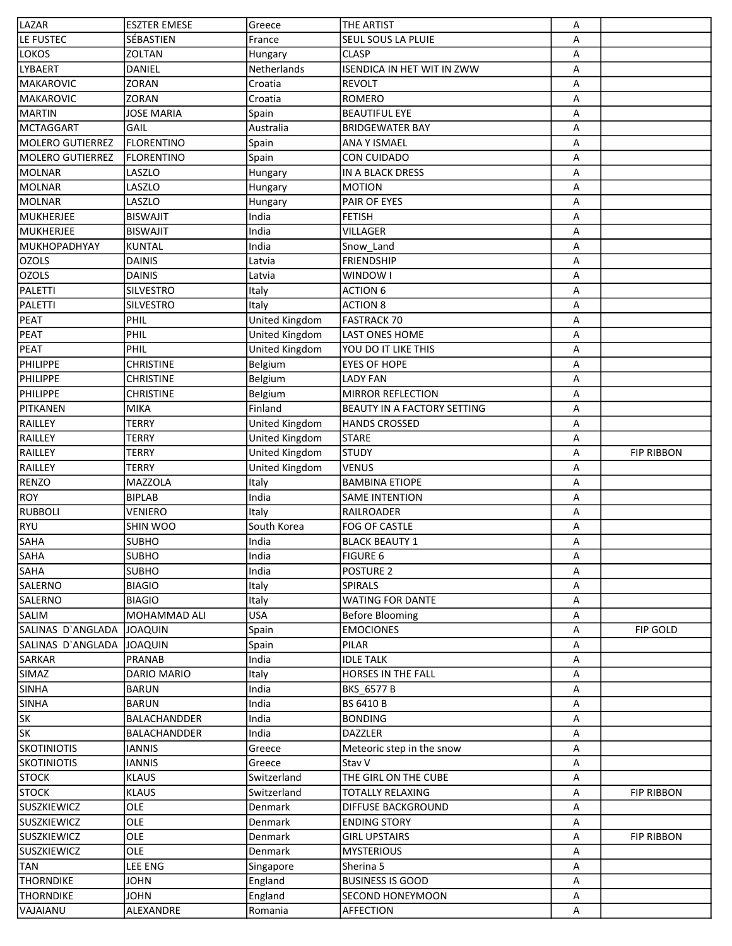| LAZAR                 | <b>ESZTER EMESE</b> | Greece         | <b>THE ARTIST</b>                 | Α |                   |
|-----------------------|---------------------|----------------|-----------------------------------|---|-------------------|
| LE FUSTEC             | SÉBASTIEN           | France         | SEUL SOUS LA PLUIE                | A |                   |
| <b>LOKOS</b>          | <b>ZOLTAN</b>       | Hungary        | <b>CLASP</b>                      | Α |                   |
| LYBAERT               | DANIEL              | Netherlands    | <b>ISENDICA IN HET WIT IN ZWW</b> | Α |                   |
| MAKAROVIC             | <b>ZORAN</b>        | Croatia        | <b>REVOLT</b>                     | Α |                   |
| MAKAROVIC             | <b>ZORAN</b>        | Croatia        | <b>ROMERO</b>                     | Α |                   |
| MARTIN                | <b>JOSE MARIA</b>   | Spain          | <b>BEAUTIFUL EYE</b>              | Α |                   |
| <b>MCTAGGART</b>      | GAIL                | Australia      | <b>BRIDGEWATER BAY</b>            | Α |                   |
| MOLERO GUTIERREZ      | <b>FLORENTINO</b>   | Spain          | ANA Y ISMAEL                      | Α |                   |
| MOLERO GUTIERREZ      | <b>FLORENTINO</b>   | Spain          | CON CUIDADO                       | Α |                   |
| MOLNAR                | LASZLO              | Hungary        | IN A BLACK DRESS                  | Α |                   |
| MOLNAR                | LASZLO              | Hungary        | <b>MOTION</b>                     | Α |                   |
| MOLNAR                | LASZLO              | Hungary        | PAIR OF EYES                      | Α |                   |
| MUKHERJEE             | <b>BISWAJIT</b>     | India          | <b>FETISH</b>                     | Α |                   |
| MUKHERJEE             | <b>BISWAJIT</b>     | India          | <b>VILLAGER</b>                   | Α |                   |
| MUKHOPADHYAY          | KUNTAL              | India          |                                   |   |                   |
|                       |                     |                | Snow Land                         | Α |                   |
| <b>OZOLS</b><br>OZOLS | <b>DAINIS</b>       | Latvia         | <b>FRIENDSHIP</b>                 | Α |                   |
|                       | <b>DAINIS</b>       | Latvia         | WINDOW I                          | Α |                   |
| PALETTI               | <b>SILVESTRO</b>    | Italy          | <b>ACTION 6</b>                   | Α |                   |
| PALETTI               | SILVESTRO           | Italy          | <b>ACTION 8</b>                   | Α |                   |
| PEAT                  | PHIL                | United Kingdom | <b>FASTRACK 70</b>                | Α |                   |
| PEAT                  | PHIL                | United Kingdom | <b>LAST ONES HOME</b>             | Α |                   |
| PEAT                  | PHIL                | United Kingdom | YOU DO IT LIKE THIS               | Α |                   |
| PHILIPPE              | <b>CHRISTINE</b>    | Belgium        | <b>EYES OF HOPE</b>               | Α |                   |
| <b>PHILIPPE</b>       | <b>CHRISTINE</b>    | Belgium        | <b>LADY FAN</b>                   | Α |                   |
| PHILIPPE              | <b>CHRISTINE</b>    | Belgium        | <b>MIRROR REFLECTION</b>          | Α |                   |
| PITKANEN              | MIKA                | Finland        | BEAUTY IN A FACTORY SETTING       | Α |                   |
| RAILLEY               | <b>TERRY</b>        | United Kingdom | <b>HANDS CROSSED</b>              | Α |                   |
| RAILLEY               | <b>TERRY</b>        | United Kingdom | <b>STARE</b>                      | Α |                   |
| <b>RAILLEY</b>        | <b>TERRY</b>        | United Kingdom | <b>STUDY</b>                      | Α | <b>FIP RIBBON</b> |
| <b>RAILLEY</b>        | TERRY               | United Kingdom | <b>VENUS</b>                      | Α |                   |
| <b>RENZO</b>          | <b>MAZZOLA</b>      | Italy          | <b>BAMBINA ETIOPE</b>             | Α |                   |
| ROY                   | <b>BIPLAB</b>       | India          | <b>SAME INTENTION</b>             | Α |                   |
| <b>RUBBOLI</b>        | <b>VENIERO</b>      | Italy          | RAILROADER                        | Α |                   |
| RYU                   | SHIN WOO            | South Korea    | FOG OF CASTLE                     | Α |                   |
| <b>SAHA</b>           | <b>SUBHO</b>        | India          | <b>BLACK BEAUTY 1</b>             | Α |                   |
| <b>SAHA</b>           | <b>SUBHO</b>        | India          | <b>FIGURE 6</b>                   | А |                   |
| <b>SAHA</b>           | <b>SUBHO</b>        | India          | POSTURE 2                         | Α |                   |
| SALERNO               | <b>BIAGIO</b>       | Italy          | <b>SPIRALS</b>                    | Α |                   |
| SALERNO               | <b>BIAGIO</b>       | Italy          | <b>WATING FOR DANTE</b>           | Α |                   |
| SALIM                 | MOHAMMAD ALI        | <b>USA</b>     | <b>Before Blooming</b>            | Α |                   |
| SALINAS D'ANGLADA     | JOAQUIN             | Spain          | <b>EMOCIONES</b>                  | Α | <b>FIP GOLD</b>   |
| SALINAS D'ANGLADA     | <b>JOAQUIN</b>      | Spain          | PILAR                             | Α |                   |
| <b>SARKAR</b>         | <b>PRANAB</b>       | India          | <b>IDLE TALK</b>                  | Α |                   |
| <b>SIMAZ</b>          | DARIO MARIO         | Italy          | <b>HORSES IN THE FALL</b>         | Α |                   |
| <b>SINHA</b>          | <b>BARUN</b>        | India          | BKS_6577 B                        | Α |                   |
| <b>SINHA</b>          | <b>BARUN</b>        | India          | <b>BS 6410 B</b>                  | Α |                   |
| <b>SK</b>             | BALACHANDDER        | India          | <b>BONDING</b>                    | Α |                   |
| <b>SK</b>             | BALACHANDDER        | India          | DAZZLER                           | Α |                   |
| <b>SKOTINIOTIS</b>    | <b>IANNIS</b>       |                |                                   |   |                   |
|                       |                     | Greece         | Meteoric step in the snow         | Α |                   |
| <b>SKOTINIOTIS</b>    | <b>IANNIS</b>       | Greece         | Stav V                            | Α |                   |
| <b>STOCK</b>          | <b>KLAUS</b>        | Switzerland    | THE GIRL ON THE CUBE              | Α |                   |
| <b>STOCK</b>          | <b>KLAUS</b>        | Switzerland    | <b>TOTALLY RELAXING</b>           | Α | <b>FIP RIBBON</b> |
| <b>SUSZKIEWICZ</b>    | OLE                 | Denmark        | <b>DIFFUSE BACKGROUND</b>         | Α |                   |
| <b>SUSZKIEWICZ</b>    | OLE                 | Denmark        | <b>ENDING STORY</b>               | Α |                   |
| <b>SUSZKIEWICZ</b>    | OLE                 | Denmark        | <b>GIRL UPSTAIRS</b>              | Α | <b>FIP RIBBON</b> |
| <b>SUSZKIEWICZ</b>    | OLE                 | Denmark        | <b>MYSTERIOUS</b>                 | Α |                   |
| <b>TAN</b>            | <b>LEE ENG</b>      | Singapore      | Sherina 5                         | Α |                   |
| <b>THORNDIKE</b>      | <b>JOHN</b>         | England        | <b>BUSINESS IS GOOD</b>           | Α |                   |
| <b>THORNDIKE</b>      | <b>JOHN</b>         | England        | <b>SECOND HONEYMOON</b>           | Α |                   |
| VAJAIANU              | ALEXANDRE           | Romania        | AFFECTION                         | Α |                   |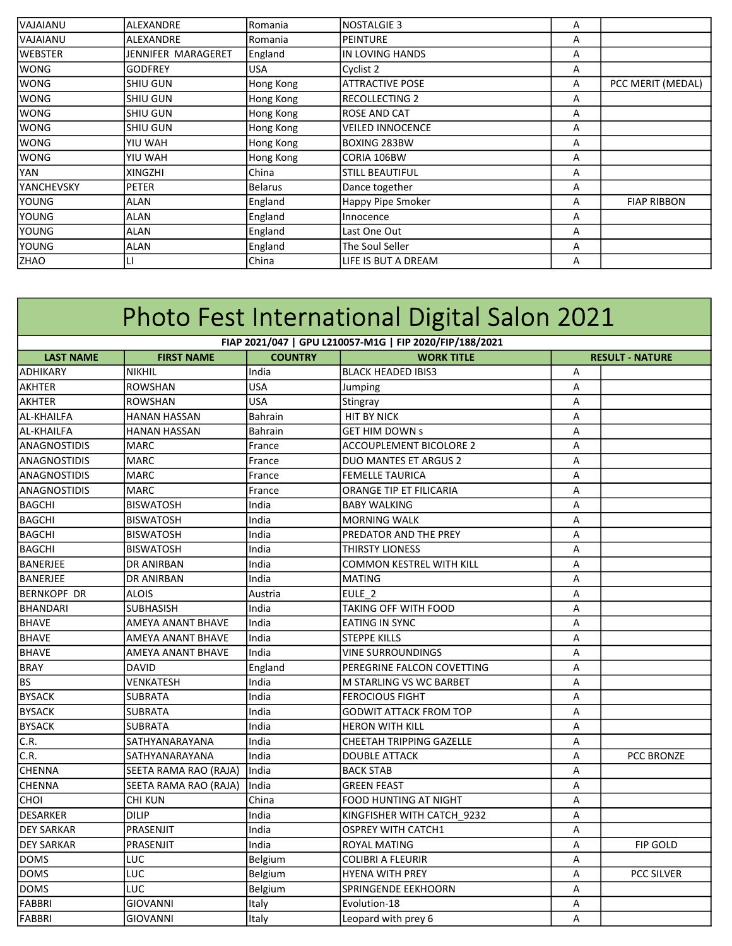| IVAJAIANU         | <b>ALEXANDRE</b>   | Romania        | <b>NOSTALGIE 3</b>      | A |                    |
|-------------------|--------------------|----------------|-------------------------|---|--------------------|
| IVAJAIANU         | <b>ALEXANDRE</b>   | Romania        | <b>PEINTURE</b>         | A |                    |
| <b>WEBSTER</b>    | JENNIFER MARAGERET | England        | IN LOVING HANDS         | A |                    |
| <b>WONG</b>       | <b>GODFREY</b>     | <b>USA</b>     | Cyclist 2               | Α |                    |
| <b>WONG</b>       | SHIU GUN           | Hong Kong      | <b>ATTRACTIVE POSE</b>  | A | PCC MERIT (MEDAL)  |
| <b>WONG</b>       | SHIU GUN           | Hong Kong      | <b>RECOLLECTING 2</b>   | Α |                    |
| <b>WONG</b>       | SHIU GUN           | Hong Kong      | <b>ROSE AND CAT</b>     | A |                    |
| <b>WONG</b>       | SHIU GUN           | Hong Kong      | <b>VEILED INNOCENCE</b> | A |                    |
| <b>WONG</b>       | YIU WAH            | Hong Kong      | <b>BOXING 283BW</b>     | A |                    |
| lwong             | YIU WAH            | Hong Kong      | CORIA 106BW             | A |                    |
| <b>YAN</b>        | XINGZHI            | China          | <b>STILL BEAUTIFUL</b>  | A |                    |
| <b>YANCHEVSKY</b> | <b>PETER</b>       | <b>Belarus</b> | Dance together          | Α |                    |
| <b>YOUNG</b>      | ALAN               | England        | Happy Pipe Smoker       | A | <b>FIAP RIBBON</b> |
| YOUNG             | ALAN               | England        | Innocence               | Α |                    |
| YOUNG             | ALAN               | England        | Last One Out            | Α |                    |
| <b>YOUNG</b>      | ALAN               | England        | The Soul Seller         | A |                    |
| <b>ZHAO</b>       | LI                 | China          | LIFE IS BUT A DREAM     | Α |                    |
|                   |                    |                |                         |   |                    |

| Photo Fest International Digital Salon 2021             |                          |                |                                 |   |                        |  |  |  |  |
|---------------------------------------------------------|--------------------------|----------------|---------------------------------|---|------------------------|--|--|--|--|
| FIAP 2021/047   GPU L210057-M1G   FIP 2020/FIP/188/2021 |                          |                |                                 |   |                        |  |  |  |  |
| <b>LAST NAME</b>                                        | <b>FIRST NAME</b>        | <b>COUNTRY</b> | <b>WORK TITLE</b>               |   | <b>RESULT - NATURE</b> |  |  |  |  |
| <b>ADHIKARY</b>                                         | <b>NIKHIL</b>            | India          | <b>BLACK HEADED IBIS3</b>       | Α |                        |  |  |  |  |
| <b>AKHTER</b>                                           | <b>ROWSHAN</b>           | <b>USA</b>     | Jumping                         | Α |                        |  |  |  |  |
| AKHTER                                                  | ROWSHAN                  | <b>USA</b>     | Stingray                        | A |                        |  |  |  |  |
| AL-KHAILFA                                              | <b>HANAN HASSAN</b>      | Bahrain        | <b>HIT BY NICK</b>              | A |                        |  |  |  |  |
| AL-KHAILFA                                              | <b>HANAN HASSAN</b>      | <b>Bahrain</b> | <b>GET HIM DOWN S</b>           | Α |                        |  |  |  |  |
| ANAGNOSTIDIS                                            | MARC                     | France         | <b>ACCOUPLEMENT BICOLORE 2</b>  | A |                        |  |  |  |  |
| <b>ANAGNOSTIDIS</b>                                     | <b>MARC</b>              | France         | DUO MANTES ET ARGUS 2           | A |                        |  |  |  |  |
| <b>ANAGNOSTIDIS</b>                                     | <b>MARC</b>              | France         | <b>FEMELLE TAURICA</b>          | A |                        |  |  |  |  |
| <b>ANAGNOSTIDIS</b>                                     | <b>MARC</b>              | France         | ORANGE TIP ET FILICARIA         | Α |                        |  |  |  |  |
| <b>BAGCHI</b>                                           | <b>BISWATOSH</b>         | India          | <b>BABY WALKING</b>             | A |                        |  |  |  |  |
| <b>BAGCHI</b>                                           | <b>BISWATOSH</b>         | India          | <b>MORNING WALK</b>             | Α |                        |  |  |  |  |
| <b>BAGCHI</b>                                           | <b>BISWATOSH</b>         | India          | PREDATOR AND THE PREY           | A |                        |  |  |  |  |
| <b>BAGCHI</b>                                           | <b>BISWATOSH</b>         | India          | <b>THIRSTY LIONESS</b>          | A |                        |  |  |  |  |
| BANERJEE                                                | <b>DR ANIRBAN</b>        | India          | <b>COMMON KESTREL WITH KILL</b> | A |                        |  |  |  |  |
| BANERJEE                                                | <b>DR ANIRBAN</b>        | India          | <b>MATING</b>                   | Α |                        |  |  |  |  |
| BERNKOPF DR                                             | <b>ALOIS</b>             | Austria        | EULE <sub>2</sub>               | A |                        |  |  |  |  |
| BHANDARI                                                | <b>SUBHASISH</b>         | India          | <b>TAKING OFF WITH FOOD</b>     | A |                        |  |  |  |  |
| <b>BHAVE</b>                                            | AMEYA ANANT BHAVE        | India          | <b>EATING IN SYNC</b>           | Α |                        |  |  |  |  |
| <b>BHAVE</b>                                            | <b>AMEYA ANANT BHAVE</b> | India          | <b>STEPPE KILLS</b>             | A |                        |  |  |  |  |
| <b>BHAVE</b>                                            | AMEYA ANANT BHAVE        | India          | <b>VINE SURROUNDINGS</b>        | Α |                        |  |  |  |  |
| <b>BRAY</b>                                             | DAVID                    | England        | PEREGRINE FALCON COVETTING      | Α |                        |  |  |  |  |
| lbs                                                     | VENKATESH                | India          | M STARLING VS WC BARBET         | A |                        |  |  |  |  |
| <b>BYSACK</b>                                           | <b>SUBRATA</b>           | India          | <b>FEROCIOUS FIGHT</b>          | A |                        |  |  |  |  |
| <b>BYSACK</b>                                           | <b>SUBRATA</b>           | India          | <b>GODWIT ATTACK FROM TOP</b>   | Α |                        |  |  |  |  |
| <b>BYSACK</b>                                           | <b>SUBRATA</b>           | India          | <b>HERON WITH KILL</b>          | A |                        |  |  |  |  |
| C.R.                                                    | SATHYANARAYANA           | India          | <b>CHEETAH TRIPPING GAZELLE</b> | A |                        |  |  |  |  |
| C.R.                                                    | SATHYANARAYANA           | India          | <b>DOUBLE ATTACK</b>            | Α | PCC BRONZE             |  |  |  |  |
| <b>CHENNA</b>                                           | SEETA RAMA RAO (RAJA)    | lIndia         | <b>BACK STAB</b>                | Α |                        |  |  |  |  |
| <b>CHENNA</b>                                           | SEETA RAMA RAO (RAJA)    | India          | <b>GREEN FEAST</b>              | A |                        |  |  |  |  |
| Існоі                                                   | CHI KUN                  | China          | FOOD HUNTING AT NIGHT           | A |                        |  |  |  |  |
| DESARKER                                                | <b>DILIP</b>             | India          | KINGFISHER WITH CATCH 9232      | A |                        |  |  |  |  |
| <b>DEY SARKAR</b>                                       | PRASENJIT                | India          | <b>OSPREY WITH CATCH1</b>       | Α |                        |  |  |  |  |
| <b>DEY SARKAR</b>                                       | PRASENJIT                | India          | <b>ROYAL MATING</b>             | Α | <b>FIP GOLD</b>        |  |  |  |  |
| <b>DOMS</b>                                             | <b>LUC</b>               | Belgium        | <b>COLIBRI A FLEURIR</b>        | Α |                        |  |  |  |  |
| <b>DOMS</b>                                             | LUC                      | Belgium        | <b>HYENA WITH PREY</b>          | A | PCC SILVER             |  |  |  |  |
| <b>DOMS</b>                                             | <b>LUC</b>               | Belgium        | SPRINGENDE EEKHOORN             | A |                        |  |  |  |  |
| FABBRI                                                  | <b>GIOVANNI</b>          | Italy          | Evolution-18                    | Α |                        |  |  |  |  |
| FABBRI                                                  | <b>GIOVANNI</b>          | Italy          | Leopard with prey 6             | Α |                        |  |  |  |  |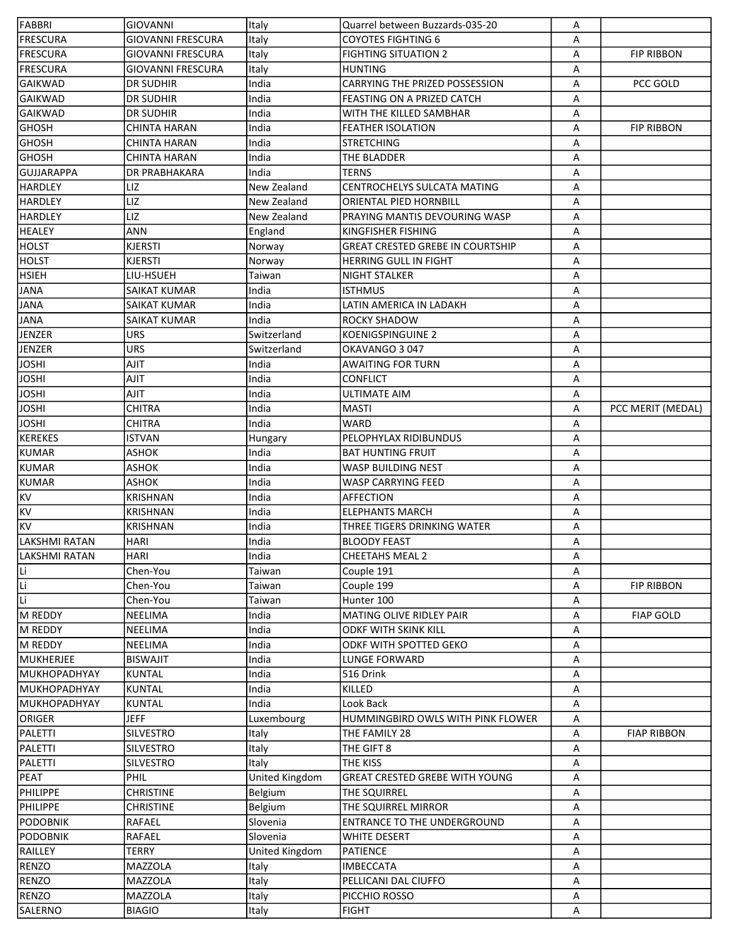| FABBRI                | <b>GIOVANNI</b>          | Italy          | Quarrel between Buzzards-035-20         | Α      |                    |
|-----------------------|--------------------------|----------------|-----------------------------------------|--------|--------------------|
| <b>FRESCURA</b>       | <b>GIOVANNI FRESCURA</b> | Italy          | <b>COYOTES FIGHTING 6</b>               | Α      |                    |
| <b>FRESCURA</b>       | <b>GIOVANNI FRESCURA</b> | Italy          | <b>FIGHTING SITUATION 2</b>             | Α      | <b>FIP RIBBON</b>  |
| <b>FRESCURA</b>       | <b>GIOVANNI FRESCURA</b> | Italy          | <b>HUNTING</b>                          | Α      |                    |
| <b>GAIKWAD</b>        | <b>DR SUDHIR</b>         | India          | CARRYING THE PRIZED POSSESSION          | А      | PCC GOLD           |
| <b>GAIKWAD</b>        | <b>DR SUDHIR</b>         | India          | FEASTING ON A PRIZED CATCH              | Α      |                    |
| <b>GAIKWAD</b>        | <b>DR SUDHIR</b>         | India          | WITH THE KILLED SAMBHAR                 | Α      |                    |
| <b>GHOSH</b>          | <b>CHINTA HARAN</b>      | India          | <b>FEATHER ISOLATION</b>                | Α      | <b>FIP RIBBON</b>  |
| <b>GHOSH</b>          | <b>CHINTA HARAN</b>      | India          | <b>STRETCHING</b>                       | Α      |                    |
| <b>GHOSH</b>          | CHINTA HARAN             | India          | THE BLADDER                             | Α      |                    |
| GUJJARAPPA            | <b>DR PRABHAKARA</b>     | India          | <b>TERNS</b>                            | Α      |                    |
| <b>HARDLEY</b>        | LIZ                      | New Zealand    | <b>CENTROCHELYS SULCATA MATING</b>      | Α      |                    |
| <b>HARDLEY</b>        | LIZ                      | New Zealand    | ORIENTAL PIED HORNBILL                  | Α      |                    |
| <b>HARDLEY</b>        | LIZ                      | New Zealand    | PRAYING MANTIS DEVOURING WASP           | A      |                    |
| <b>HEALEY</b>         | ANN                      | England        | <b>KINGFISHER FISHING</b>               | Α      |                    |
| <b>HOLST</b>          | KJERSTI                  | Norway         | <b>GREAT CRESTED GREBE IN COURTSHIP</b> | Α      |                    |
| <b>HOLST</b>          | KJERSTI                  | Norway         | HERRING GULL IN FIGHT                   | Α      |                    |
| <b>HSIEH</b>          | LIU-HSUEH                | Taiwan         | <b>NIGHT STALKER</b>                    | Α      |                    |
| <b>JANA</b>           | SAIKAT KUMAR             | India          | <b>ISTHMUS</b>                          | Α      |                    |
| <b>JANA</b>           | SAIKAT KUMAR             | India          | LATIN AMERICA IN LADAKH                 | Α      |                    |
|                       | SAIKAT KUMAR             | India          | <b>ROCKY SHADOW</b>                     |        |                    |
| <b>JANA</b><br>JENZER | <b>URS</b>               | Switzerland    | <b>KOENIGSPINGUINE 2</b>                | Α<br>Α |                    |
|                       | URS                      | Switzerland    | OKAVANGO 3047                           | Α      |                    |
| <b>JENZER</b>         | <b>AJIT</b>              | India          | <b>AWAITING FOR TURN</b>                |        |                    |
| <b>JOSHI</b>          |                          |                |                                         | Α      |                    |
| <b>JOSHI</b>          | <b>TILA</b>              | India          | <b>CONFLICT</b>                         | Α      |                    |
| <b>JOSHI</b>          | <b>TILA</b>              | India          | <b>ULTIMATE AIM</b>                     | Α      |                    |
| <b>JOSHI</b>          | <b>CHITRA</b>            | India          | MASTI                                   | Α      | PCC MERIT (MEDAL)  |
| <b>JOSHI</b>          | <b>CHITRA</b>            | India          | <b>WARD</b>                             | Α      |                    |
| <b>KEREKES</b>        | <b>ISTVAN</b>            | Hungary        | PELOPHYLAX RIDIBUNDUS                   | Α      |                    |
| <b>KUMAR</b>          | ASHOK                    | India          | <b>BAT HUNTING FRUIT</b>                | Α      |                    |
| <b>KUMAR</b>          | ASHOK                    | India          | <b>WASP BUILDING NEST</b>               | A      |                    |
| <b>KUMAR</b>          | ASHOK                    | India          | <b>WASP CARRYING FEED</b>               | Α      |                    |
| KV                    | <b>KRISHNAN</b>          | India          | AFFECTION                               | Α      |                    |
| KV                    | <b>KRISHNAN</b>          | India          | <b>ELEPHANTS MARCH</b>                  | Α      |                    |
| <b>KV</b>             | <b>KRISHNAN</b>          | India          | THREE TIGERS DRINKING WATER             | Α      |                    |
| LAKSHMI RATAN         | HARI                     | India          | <b>BLOODY FEAST</b>                     | Α      |                    |
| <b>LAKSHMI RATAN</b>  | <b>HARI</b>              | India          | <b>CHEETAHS MEAL 2</b>                  | Α      |                    |
| Li                    | Chen-You                 | Taiwan         | Couple 191                              | Α      |                    |
| Li                    | Chen-You                 | Taiwan         | Couple 199                              | Α      | <b>FIP RIBBON</b>  |
| Li                    | Chen-You                 | Taiwan         | Hunter 100                              | Α      |                    |
| M REDDY               | NEELIMA                  | India          | MATING OLIVE RIDLEY PAIR                | Α      | <b>FIAP GOLD</b>   |
| M REDDY               | NEELIMA                  | India          | ODKF WITH SKINK KILL                    | Α      |                    |
| M REDDY               | NEELIMA                  | India          | ODKF WITH SPOTTED GEKO                  | Α      |                    |
| MUKHERJEE             | <b>BISWAJIT</b>          | India          | <b>LUNGE FORWARD</b>                    | Α      |                    |
| MUKHOPADHYAY          | KUNTAL                   | India          | 516 Drink                               | Α      |                    |
| MUKHOPADHYAY          | KUNTAL                   | India          | KILLED                                  | Α      |                    |
| MUKHOPADHYAY          | <b>KUNTAL</b>            | India          | Look Back                               | Α      |                    |
| ORIGER                | <b>JEFF</b>              | Luxembourg     | HUMMINGBIRD OWLS WITH PINK FLOWER       | А      |                    |
| PALETTI               | SILVESTRO                | Italy          | THE FAMILY 28                           | Α      | <b>FIAP RIBBON</b> |
| PALETTI               | SILVESTRO                | Italy          | THE GIFT 8                              | Α      |                    |
| PALETTI               | SILVESTRO                | Italy          | THE KISS                                | Α      |                    |
| PEAT                  | PHIL                     | United Kingdom | <b>GREAT CRESTED GREBE WITH YOUNG</b>   | А      |                    |
| <b>PHILIPPE</b>       | <b>CHRISTINE</b>         | Belgium        | THE SQUIRREL                            | Α      |                    |
| <b>PHILIPPE</b>       | <b>CHRISTINE</b>         | Belgium        | THE SQUIRREL MIRROR                     | Α      |                    |
| <b>PODOBNIK</b>       | RAFAEL                   | Slovenia       | ENTRANCE TO THE UNDERGROUND             | Α      |                    |
| <b>PODOBNIK</b>       | RAFAEL                   | Slovenia       | <b>WHITE DESERT</b>                     | Α      |                    |
| RAILLEY               | <b>TERRY</b>             | United Kingdom | PATIENCE                                | Α      |                    |
| RENZO                 | MAZZOLA                  | Italy          | <b>IMBECCATA</b>                        | Α      |                    |
| RENZO                 | MAZZOLA                  | Italy          | PELLICANI DAL CIUFFO                    | Α      |                    |
| RENZO                 | MAZZOLA                  | Italy          | PICCHIO ROSSO                           | Α      |                    |
| SALERNO               | <b>BIAGIO</b>            | Italy          | <b>FIGHT</b>                            | Α      |                    |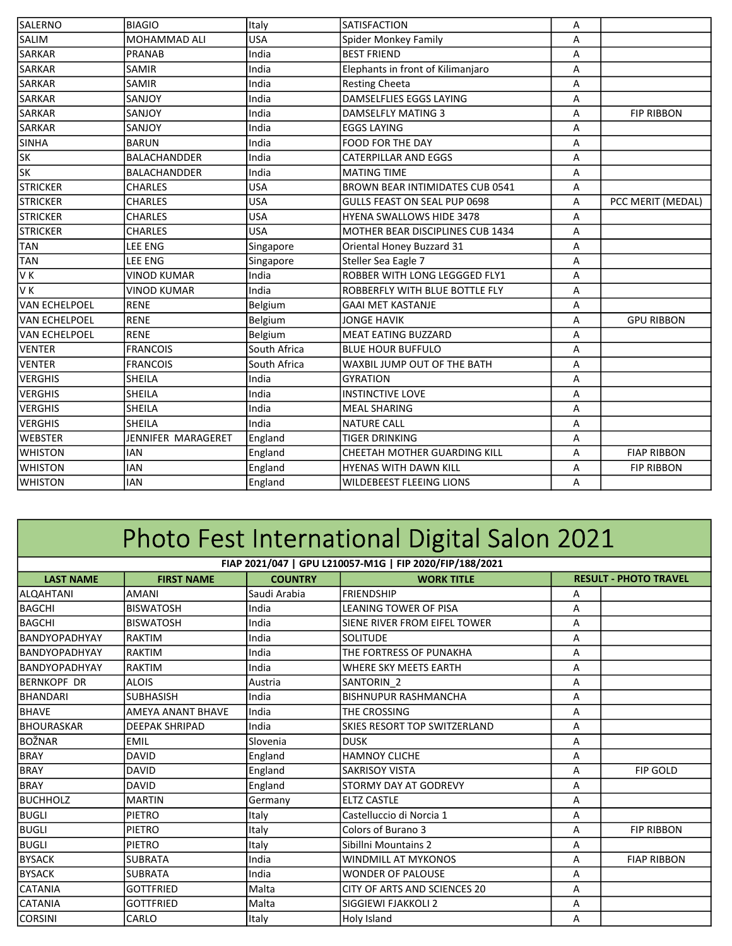| SALERNO              | <b>BIAGIO</b>       | Italy        | <b>SATISFACTION</b>                     | Α |                    |
|----------------------|---------------------|--------------|-----------------------------------------|---|--------------------|
| <b>SALIM</b>         | <b>MOHAMMAD ALI</b> | <b>USA</b>   | Spider Monkey Family                    | A |                    |
| <b>SARKAR</b>        | <b>PRANAB</b>       | India        | <b>BEST FRIEND</b>                      | Α |                    |
| <b>SARKAR</b>        | <b>SAMIR</b>        | India        | Elephants in front of Kilimanjaro       | Α |                    |
| <b>SARKAR</b>        | <b>SAMIR</b>        | India        | <b>Resting Cheeta</b>                   | A |                    |
| <b>SARKAR</b>        | SANJOY              | India        | DAMSELFLIES EGGS LAYING                 | Α |                    |
| <b>SARKAR</b>        | SANJOY              | India        | <b>DAMSELFLY MATING 3</b>               | Α | <b>FIP RIBBON</b>  |
| <b>SARKAR</b>        | SANJOY              | India        | <b>EGGS LAYING</b>                      | A |                    |
| <b>SINHA</b>         | <b>BARUN</b>        | India        | FOOD FOR THE DAY                        | Α |                    |
| <b>SK</b>            | <b>BALACHANDDER</b> | India        | <b>CATERPILLAR AND EGGS</b>             | A |                    |
| <b>SK</b>            | <b>BALACHANDDER</b> | India        | <b>MATING TIME</b>                      | A |                    |
| <b>STRICKER</b>      | <b>CHARLES</b>      | <b>USA</b>   | <b>BROWN BEAR INTIMIDATES CUB 0541</b>  | A |                    |
| <b>STRICKER</b>      | <b>CHARLES</b>      | <b>USA</b>   | <b>GULLS FEAST ON SEAL PUP 0698</b>     | Α | PCC MERIT (MEDAL)  |
| <b>STRICKER</b>      | <b>CHARLES</b>      | USA          | <b>HYENA SWALLOWS HIDE 3478</b>         | A |                    |
| <b>STRICKER</b>      | <b>CHARLES</b>      | <b>USA</b>   | <b>MOTHER BEAR DISCIPLINES CUB 1434</b> | Α |                    |
| <b>TAN</b>           | LEE ENG             | Singapore    | Oriental Honey Buzzard 31               | Α |                    |
| TAN                  | LEE ENG             | Singapore    | Steller Sea Eagle 7                     | Α |                    |
| V K                  | <b>VINOD KUMAR</b>  | India        | ROBBER WITH LONG LEGGGED FLY1           | Α |                    |
| lv k                 | <b>VINOD KUMAR</b>  | India        | ROBBERFLY WITH BLUE BOTTLE FLY          | Α |                    |
| <b>VAN ECHELPOEL</b> | <b>RENE</b>         | Belgium      | <b>GAAI MET KASTANJE</b>                | A |                    |
| VAN ECHELPOEL        | RENE                | Belgium      | <b>JONGE HAVIK</b>                      | A | <b>GPU RIBBON</b>  |
| <b>VAN ECHELPOEL</b> | <b>RENE</b>         | Belgium      | <b>MEAT EATING BUZZARD</b>              | Α |                    |
| VENTER               | <b>FRANCOIS</b>     | South Africa | <b>BLUE HOUR BUFFULO</b>                | A |                    |
| VENTER               | <b>FRANCOIS</b>     | South Africa | WAXBIL JUMP OUT OF THE BATH             | A |                    |
| <b>VERGHIS</b>       | SHEILA              | India        | <b>GYRATION</b>                         | Α |                    |
| <b>VERGHIS</b>       | <b>SHEILA</b>       | India        | <b>INSTINCTIVE LOVE</b>                 | Α |                    |
| <b>VERGHIS</b>       | <b>SHEILA</b>       | India        | <b>MEAL SHARING</b>                     | Α |                    |
| <b>VERGHIS</b>       | <b>SHEILA</b>       | India        | <b>NATURE CALL</b>                      | Α |                    |
| <b>WEBSTER</b>       | JENNIFER MARAGERET  | England      | <b>TIGER DRINKING</b>                   | Α |                    |
| <b>WHISTON</b>       | <b>IAN</b>          | England      | CHEETAH MOTHER GUARDING KILL            | A | <b>FIAP RIBBON</b> |
| <b>WHISTON</b>       | <b>IAN</b>          | England      | <b>HYENAS WITH DAWN KILL</b>            | A | <b>FIP RIBBON</b>  |
| <b>WHISTON</b>       | <b>IAN</b>          | England      | <b>WILDEBEEST FLEEING LIONS</b>         | A |                    |
|                      |                     |              |                                         |   |                    |

## Photo Fest International Digital Salon 2021

| FIAP 2021/047   GPU L210057-M1G   FIP 2020/FIP/188/2021 |                          |                |                                     |   |                              |  |  |  |
|---------------------------------------------------------|--------------------------|----------------|-------------------------------------|---|------------------------------|--|--|--|
| <b>LAST NAME</b>                                        | <b>FIRST NAME</b>        | <b>COUNTRY</b> | <b>WORK TITLE</b>                   |   | <b>RESULT - PHOTO TRAVEL</b> |  |  |  |
| ALQAHTANI                                               | <b>AMANI</b>             | Saudi Arabia   | <b>FRIENDSHIP</b>                   | A |                              |  |  |  |
| <b>BAGCHI</b>                                           | <b>BISWATOSH</b>         | India          | <b>LEANING TOWER OF PISA</b>        | A |                              |  |  |  |
| <b>BAGCHI</b>                                           | <b>BISWATOSH</b>         | India          | SIENE RIVER FROM EIFEL TOWER        | A |                              |  |  |  |
| <b>BANDYOPADHYAY</b>                                    | <b>RAKTIM</b>            | India          | <b>SOLITUDE</b>                     | A |                              |  |  |  |
| BANDYOPADHYAY                                           | <b>RAKTIM</b>            | India          | THE FORTRESS OF PUNAKHA             | A |                              |  |  |  |
| BANDYOPADHYAY                                           | <b>RAKTIM</b>            | India          | <b>WHERE SKY MEETS EARTH</b>        | A |                              |  |  |  |
| <b>BERNKOPF DR</b>                                      | <b>ALOIS</b>             | Austria        | SANTORIN <sub>2</sub>               | A |                              |  |  |  |
| BHANDARI                                                | <b>SUBHASISH</b>         | India          | <b>BISHNUPUR RASHMANCHA</b>         | A |                              |  |  |  |
| <b>BHAVE</b>                                            | <b>AMEYA ANANT BHAVE</b> | India          | THE CROSSING                        | A |                              |  |  |  |
| <b>BHOURASKAR</b>                                       | <b>DEEPAK SHRIPAD</b>    | India          | <b>SKIES RESORT TOP SWITZERLAND</b> | Α |                              |  |  |  |
| BOŽNAR                                                  | <b>EMIL</b>              | Slovenia       | <b>DUSK</b>                         | A |                              |  |  |  |
| <b>BRAY</b>                                             | <b>DAVID</b>             | England        | <b>HAMNOY CLICHE</b>                | A |                              |  |  |  |
| <b>BRAY</b>                                             | <b>DAVID</b>             | England        | <b>SAKRISOY VISTA</b>               | A | <b>FIP GOLD</b>              |  |  |  |
| <b>BRAY</b>                                             | <b>DAVID</b>             | England        | <b>STORMY DAY AT GODREVY</b>        | A |                              |  |  |  |
| <b>BUCHHOLZ</b>                                         | <b>MARTIN</b>            | Germany        | <b>ELTZ CASTLE</b>                  | A |                              |  |  |  |
| <b>BUGLI</b>                                            | <b>PIETRO</b>            | Italy          | Castelluccio di Norcia 1            | A |                              |  |  |  |
| BUGLI                                                   | <b>PIETRO</b>            | Italy          | Colors of Burano 3                  | A | <b>FIP RIBBON</b>            |  |  |  |
| BUGLI                                                   | <b>PIETRO</b>            | Italy          | Sibillni Mountains 2                | A |                              |  |  |  |
| <b>BYSACK</b>                                           | <b>SUBRATA</b>           | India          | <b>WINDMILL AT MYKONOS</b>          | A | <b>FIAP RIBBON</b>           |  |  |  |
| <b>BYSACK</b>                                           | <b>SUBRATA</b>           | India          | <b>WONDER OF PALOUSE</b>            | A |                              |  |  |  |
| <b>CATANIA</b>                                          | <b>GOTTFRIED</b>         | Malta          | CITY OF ARTS AND SCIENCES 20        | A |                              |  |  |  |
| <b>CATANIA</b>                                          | <b>GOTTFRIED</b>         | Malta          | SIGGIEWI FJAKKOLI 2                 | A |                              |  |  |  |
| <b>CORSINI</b>                                          | CARLO                    | Italy          | Holy Island                         | Α |                              |  |  |  |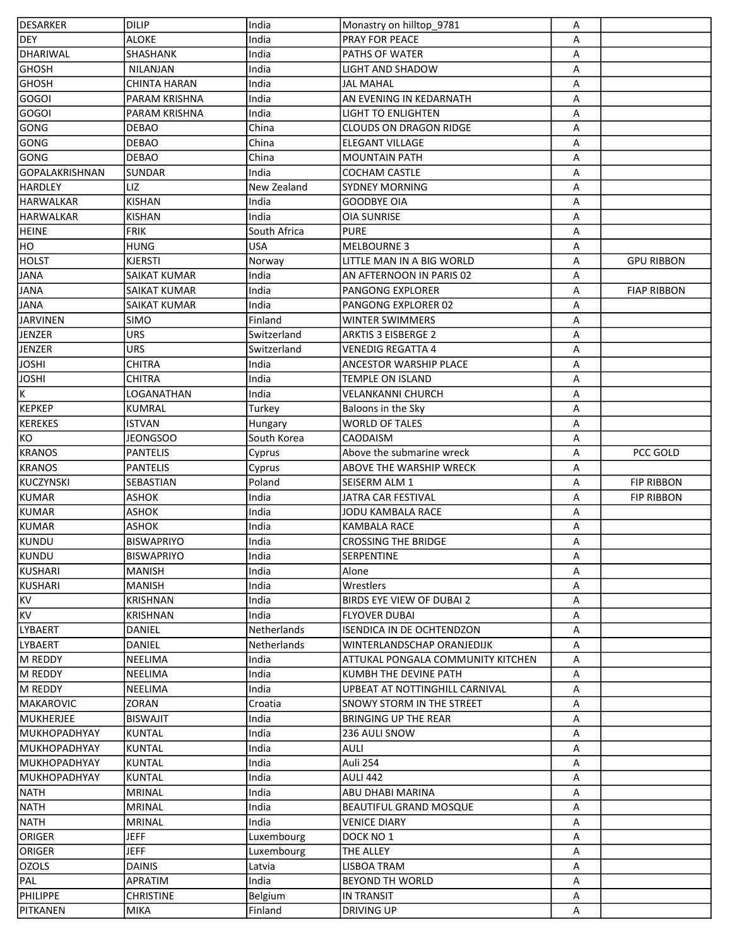| DESARKER                      | <b>DILIP</b>        | India        | Monastry on hilltop 9781          | A |                    |
|-------------------------------|---------------------|--------------|-----------------------------------|---|--------------------|
| DEY                           | <b>ALOKE</b>        | India        | PRAY FOR PEACE                    | А |                    |
| DHARIWAL                      | SHASHANK            | India        | <b>PATHS OF WATER</b>             | А |                    |
| GHOSH                         | NILANJAN            | India        | LIGHT AND SHADOW                  | Α |                    |
| <b>GHOSH</b>                  | <b>CHINTA HARAN</b> | India        | JAL MAHAL                         | Α |                    |
| <b>GOGOI</b>                  | PARAM KRISHNA       | India        | AN EVENING IN KEDARNATH           | Α |                    |
| <b>GOGOI</b>                  | PARAM KRISHNA       | India        | <b>LIGHT TO ENLIGHTEN</b>         | Α |                    |
| GONG                          | <b>DEBAO</b>        | China        | <b>CLOUDS ON DRAGON RIDGE</b>     | Α |                    |
| GONG                          | <b>DEBAO</b>        | China        | <b>ELEGANT VILLAGE</b>            | Α |                    |
| GONG                          | <b>DEBAO</b>        | China        | <b>MOUNTAIN PATH</b>              | Α |                    |
| GOPALAKRISHNAN                | <b>SUNDAR</b>       | India        | <b>COCHAM CASTLE</b>              | Α |                    |
| <b>HARDLEY</b>                | LIZ                 | New Zealand  | <b>SYDNEY MORNING</b>             | Α |                    |
| <b>HARWALKAR</b>              | <b>KISHAN</b>       | India        | <b>GOODBYE OIA</b>                | Α |                    |
| HARWALKAR                     | <b>KISHAN</b>       | India        | <b>OIA SUNRISE</b>                | Α |                    |
| <b>HEINE</b>                  | <b>FRIK</b>         | South Africa | <b>PURE</b>                       | Α |                    |
| HO                            | <b>HUNG</b>         | <b>USA</b>   | <b>MELBOURNE 3</b>                | A |                    |
| <b>HOLST</b>                  | <b>KJERSTI</b>      | Norway       | LITTLE MAN IN A BIG WORLD         | Α | <b>GPU RIBBON</b>  |
| <b>JANA</b>                   | <b>SAIKAT KUMAR</b> | India        | AN AFTERNOON IN PARIS 02          | Α |                    |
| <b>JANA</b>                   | SAIKAT KUMAR        | India        | <b>PANGONG EXPLORER</b>           | Α | <b>FIAP RIBBON</b> |
| <b>JANA</b>                   | SAIKAT KUMAR        | India        | PANGONG EXPLORER 02               | Α |                    |
| JARVINEN                      | SIMO                | Finland      | <b>WINTER SWIMMERS</b>            | Α |                    |
| JENZER                        | <b>URS</b>          | Switzerland  | <b>ARKTIS 3 EISBERGE 2</b>        |   |                    |
|                               | <b>URS</b>          | Switzerland  | <b>VENEDIG REGATTA 4</b>          | Α |                    |
| <b>JENZER</b><br><b>JOSHI</b> |                     |              |                                   | Α |                    |
|                               | <b>CHITRA</b>       | India        | <b>ANCESTOR WARSHIP PLACE</b>     | Α |                    |
| <b>JOSHI</b>                  | CHITRA              | India        | <b>TEMPLE ON ISLAND</b>           | Α |                    |
| $\overline{\mathsf{K}}$       | LOGANATHAN          | India        | <b>VELANKANNI CHURCH</b>          | Α |                    |
| <b>KEPKEP</b>                 | KUMRAL              | Turkey       | Baloons in the Sky                | Α |                    |
| <b>KEREKES</b>                | <b>ISTVAN</b>       | Hungary      | <b>WORLD OF TALES</b>             | А |                    |
| KO                            | <b>JEONGSOO</b>     | South Korea  | CAODAISM                          | Α |                    |
| <b>KRANOS</b>                 | <b>PANTELIS</b>     | Cyprus       | Above the submarine wreck         | Α | PCC GOLD           |
| KRANOS                        | <b>PANTELIS</b>     | Cyprus       | <b>ABOVE THE WARSHIP WRECK</b>    | Α |                    |
| KUCZYNSKI                     | SEBASTIAN           | Poland       | SEISERM ALM 1                     | Α | <b>FIP RIBBON</b>  |
| <b>KUMAR</b>                  | ASHOK               | India        | JATRA CAR FESTIVAL                | A | <b>FIP RIBBON</b>  |
| KUMAR                         | ASHOK               | India        | JODU KAMBALA RACE                 | Α |                    |
| KUMAR                         | ASHOK               | India        | KAMBALA RACE                      | Α |                    |
| KUNDU                         | <b>BISWAPRIYO</b>   | India        | <b>CROSSING THE BRIDGE</b>        | Α |                    |
| KUNDU                         | <b>BISWAPRIYO</b>   | India        | SERPENTINE                        | Α |                    |
| <b>KUSHARI</b>                | <b>MANISH</b>       | India        | Alone                             | Α |                    |
| <b>KUSHARI</b>                | <b>MANISH</b>       | India        | Wrestlers                         | A |                    |
| <b>KV</b>                     | <b>KRISHNAN</b>     | India        | BIRDS EYE VIEW OF DUBAI 2         | А |                    |
| <b>KV</b>                     | <b>KRISHNAN</b>     | India        | <b>FLYOVER DUBAI</b>              | Α |                    |
| LYBAERT                       | <b>DANIEL</b>       | Netherlands  | ISENDICA IN DE OCHTENDZON         | Α |                    |
| LYBAERT                       | DANIEL              | Netherlands  | <b>WINTERLANDSCHAP ORANJEDIJK</b> | Α |                    |
| M REDDY                       | <b>NEELIMA</b>      | India        | ATTUKAL PONGALA COMMUNITY KITCHEN | А |                    |
| M REDDY                       | NEELIMA             | India        | KUMBH THE DEVINE PATH             | А |                    |
| M REDDY                       | <b>NEELIMA</b>      | India        | UPBEAT AT NOTTINGHILL CARNIVAL    | А |                    |
| MAKAROVIC                     | <b>ZORAN</b>        | Croatia      | <b>SNOWY STORM IN THE STREET</b>  | А |                    |
| MUKHERJEE                     | <b>BISWAJIT</b>     | India        | <b>BRINGING UP THE REAR</b>       | Α |                    |
| <b>MUKHOPADHYAY</b>           | KUNTAL              | India        | 236 AULI SNOW                     | Α |                    |
| <b>MUKHOPADHYAY</b>           | <b>KUNTAL</b>       | India        | <b>AULI</b>                       | A |                    |
| <b>MUKHOPADHYAY</b>           | <b>KUNTAL</b>       | India        | Auli 254                          | Α |                    |
| <b>MUKHOPADHYAY</b>           | <b>KUNTAL</b>       | India        | <b>AULI 442</b>                   | Α |                    |
| <b>NATH</b>                   | <b>MRINAL</b>       | India        | <b>ABU DHABI MARINA</b>           | А |                    |
| NATH                          | <b>MRINAL</b>       | India        | <b>BEAUTIFUL GRAND MOSQUE</b>     | А |                    |
| <b>NATH</b>                   | <b>MRINAL</b>       | India        | <b>VENICE DIARY</b>               | Α |                    |
| ORIGER                        | <b>JEFF</b>         | Luxembourg   | DOCK NO 1                         | Α |                    |
| ORIGER                        | <b>JEFF</b>         | Luxembourg   | THE ALLEY                         | Α |                    |
| <b>OZOLS</b>                  | <b>DAINIS</b>       | Latvia       | <b>LISBOA TRAM</b>                | Α |                    |
| PAL                           | APRATIM             | India        | <b>BEYOND TH WORLD</b>            | Α |                    |
| PHILIPPE                      | <b>CHRISTINE</b>    | Belgium      | <b>IN TRANSIT</b>                 | Α |                    |
| PITKANEN                      | MIKA                | Finland      | <b>DRIVING UP</b>                 | А |                    |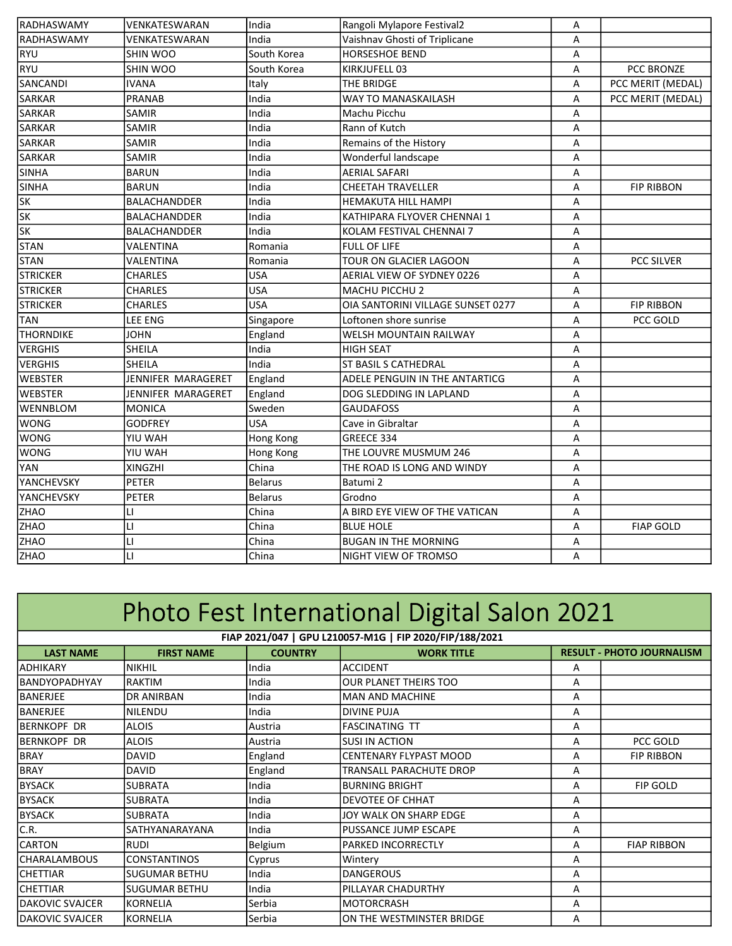| RADHASWAMY               | VENKATESWARAN       | India          | Rangoli Mylapore Festival2        | Α |                   |
|--------------------------|---------------------|----------------|-----------------------------------|---|-------------------|
| RADHASWAMY               | VENKATESWARAN       | India          | Vaishnav Ghosti of Triplicane     | Α |                   |
| <b>RYU</b>               | SHIN WOO            | South Korea    | <b>HORSESHOE BEND</b>             | Α |                   |
| RYU                      | SHIN WOO            | South Korea    | KIRKJUFELL 03                     | Α | PCC BRONZE        |
| SANCANDI                 | IVANA               | Italy          | THE BRIDGE                        | Α | PCC MERIT (MEDAL) |
| SARKAR                   | PRANAB              | India          | WAY TO MANASKAILASH               | Α | PCC MERIT (MEDAL) |
| <b>SARKAR</b>            | SAMIR               | India          | Machu Picchu                      | Α |                   |
| <b>SARKAR</b>            | SAMIR               | India          | Rann of Kutch                     | Α |                   |
| <b>SARKAR</b>            | SAMIR               | India          | Remains of the History            | Α |                   |
| <b>SARKAR</b>            | SAMIR               | India          | Wonderful landscape               | Α |                   |
| SINHA                    | <b>BARUN</b>        | India          | <b>AERIAL SAFARI</b>              | Α |                   |
| <b>SINHA</b>             | <b>BARUN</b>        | India          | <b>CHEETAH TRAVELLER</b>          | Α | <b>FIP RIBBON</b> |
| $\overline{\text{SK}}$   | <b>BALACHANDDER</b> | India          | <b>HEMAKUTA HILL HAMPI</b>        | A |                   |
| $\overline{\text{SK}}$   | <b>BALACHANDDER</b> | India          | KATHIPARA FLYOVER CHENNAI 1       | A |                   |
| $\overline{\mathsf{sk}}$ | <b>BALACHANDDER</b> | India          | KOLAM FESTIVAL CHENNAI 7          | A |                   |
| <b>STAN</b>              | VALENTINA           | Romania        | <b>FULL OF LIFE</b>               | A |                   |
| <b>STAN</b>              | VALENTINA           | Romania        | TOUR ON GLACIER LAGOON            | A | PCC SILVER        |
| <b>STRICKER</b>          | <b>CHARLES</b>      | <b>USA</b>     | AERIAL VIEW OF SYDNEY 0226        | Α |                   |
| <b>STRICKER</b>          | <b>CHARLES</b>      | <b>USA</b>     | MACHU PICCHU 2                    | Α |                   |
| <b>STRICKER</b>          | <b>CHARLES</b>      | <b>USA</b>     | OIA SANTORINI VILLAGE SUNSET 0277 | A | <b>FIP RIBBON</b> |
| <b>TAN</b>               | <b>LEE ENG</b>      | Singapore      | Loftonen shore sunrise            | A | PCC GOLD          |
| <b>THORNDIKE</b>         | <b>JOHN</b>         | England        | WELSH MOUNTAIN RAILWAY            | Α |                   |
| <b>VERGHIS</b>           | <b>SHEILA</b>       | India          | <b>HIGH SEAT</b>                  | A |                   |
| <b>VERGHIS</b>           | <b>SHEILA</b>       | India          | <b>ST BASIL S CATHEDRAL</b>       | Α |                   |
| <b>WEBSTER</b>           | JENNIFER MARAGERET  | England        | ADELE PENGUIN IN THE ANTARTICG    | Α |                   |
| <b>WEBSTER</b>           | JENNIFER MARAGERET  | England        | DOG SLEDDING IN LAPLAND           | A |                   |
| WENNBLOM                 | <b>MONICA</b>       | Sweden         | <b>GAUDAFOSS</b>                  | Α |                   |
| <b>WONG</b>              | GODFREY             | <b>USA</b>     | Cave in Gibraltar                 | Α |                   |
| <b>WONG</b>              | YIU WAH             | Hong Kong      | GREECE 334                        | A |                   |
| <b>WONG</b>              | YIU WAH             | Hong Kong      | THE LOUVRE MUSMUM 246             | Α |                   |
| <b>YAN</b>               | <b>XINGZHI</b>      | China          | THE ROAD IS LONG AND WINDY        | A |                   |
| YANCHEVSKY               | <b>PETER</b>        | <b>Belarus</b> | Batumi 2                          | Α |                   |
| YANCHEVSKY               | <b>PETER</b>        | <b>Belarus</b> | Grodno                            | Α |                   |
| ZHAO                     | LI                  | China          | A BIRD EYE VIEW OF THE VATICAN    | A |                   |
| ZHAO                     | LI                  | China          | <b>BLUE HOLE</b>                  | A | <b>FIAP GOLD</b>  |
| ZHAO                     | LI                  | China          | <b>BUGAN IN THE MORNING</b>       | Α |                   |
| ZHAO                     | LI                  | China          | NIGHT VIEW OF TROMSO              | A |                   |

## Photo Fest International Digital Salon 2021

| FIAP 2021/047   GPU L210057-M1G   FIP 2020/FIP/188/2021 |                      |                |                               |   |                                  |  |
|---------------------------------------------------------|----------------------|----------------|-------------------------------|---|----------------------------------|--|
| <b>LAST NAME</b>                                        | <b>FIRST NAME</b>    | <b>COUNTRY</b> | <b>WORK TITLE</b>             |   | <b>RESULT - PHOTO JOURNALISM</b> |  |
| IADHIKARY                                               | <b>NIKHIL</b>        | India          | <b>ACCIDENT</b>               | A |                                  |  |
| <b>IBANDYOPADHYAY</b>                                   | RAKTIM               | India          | OUR PLANET THEIRS TOO         | A |                                  |  |
| <b>BANERJEE</b>                                         | DR ANIRBAN           | India          | IMAN AND MACHINE              | A |                                  |  |
| <b>BANERJEE</b>                                         | <b>NILENDU</b>       | India          | <b>DIVINE PUJA</b>            | A |                                  |  |
| BERNKOPF DR                                             | <b>ALOIS</b>         | Austria        | <b>FASCINATING TT</b>         | A |                                  |  |
| IBERNKOPF DR                                            | <b>ALOIS</b>         | Austria        | ISUSI IN ACTION               | A | PCC GOLD                         |  |
| BRAY                                                    | <b>DAVID</b>         | England        | <b>CENTENARY FLYPAST MOOD</b> | A | <b>FIP RIBBON</b>                |  |
| <b>BRAY</b>                                             | <b>DAVID</b>         | England        | TRANSALL PARACHUTE DROP       | A |                                  |  |
| <b>BYSACK</b>                                           | <b>SUBRATA</b>       | India          | BURNING BRIGHT                | A | <b>FIP GOLD</b>                  |  |
| <b>BYSACK</b>                                           | <b>SUBRATA</b>       | India          | <b>DEVOTEE OF CHHAT</b>       | Α |                                  |  |
| <b>BYSACK</b>                                           | <b>SUBRATA</b>       | India          | JOY WALK ON SHARP EDGE        | A |                                  |  |
| C.R.                                                    | SATHYANARAYANA       | India          | PUSSANCE JUMP ESCAPE          | A |                                  |  |
| <b>CARTON</b>                                           | <b>RUDI</b>          | Belgium        | <b>PARKED INCORRECTLY</b>     | Α | <b>FIAP RIBBON</b>               |  |
| <b>ICHARALAMBOUS</b>                                    | CONSTANTINOS         | Cyprus         | Wintery                       | A |                                  |  |
| <b>CHETTIAR</b>                                         | <b>SUGUMAR BETHU</b> | India          | <b>DANGEROUS</b>              | A |                                  |  |
| <b>CHETTIAR</b>                                         | <b>SUGUMAR BETHU</b> | India          | <b>PILLAYAR CHADURTHY</b>     | Α |                                  |  |
| <b>DAKOVIC SVAJCER</b>                                  | <b>KORNELIA</b>      | Serbia         | MOTORCRASH                    | A |                                  |  |
| <b>IDAKOVIC SVAJCER</b>                                 | <b>KORNELIA</b>      | Serbia         | ON THE WESTMINSTER BRIDGE     | A |                                  |  |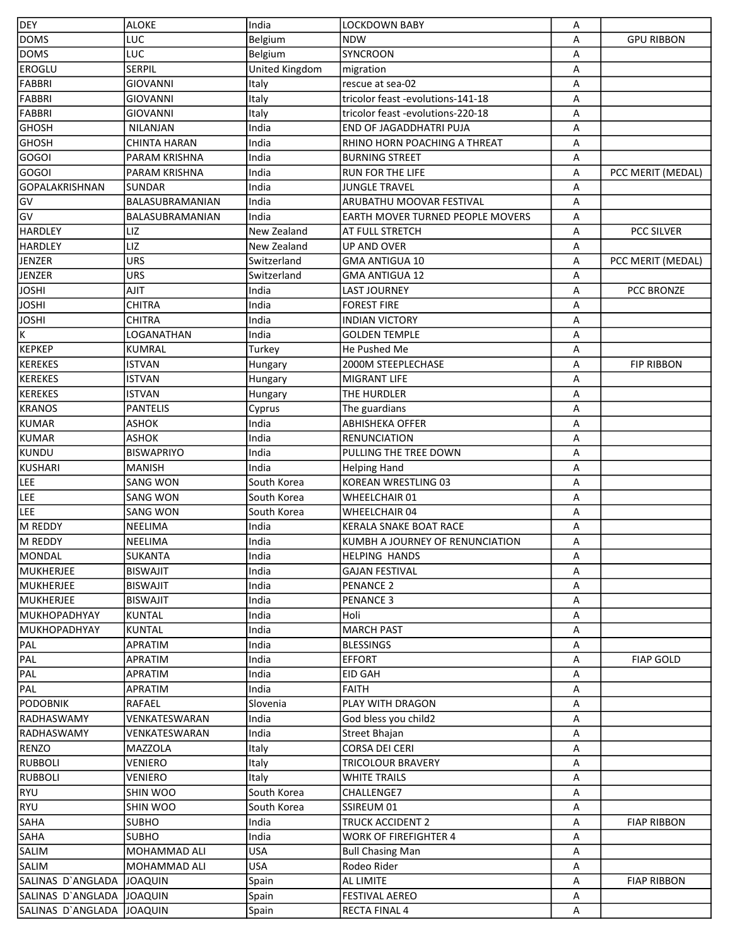| <b>DEY</b>                | <b>ALOKE</b>        | India          | <b>LOCKDOWN BABY</b>                    | Α |                    |
|---------------------------|---------------------|----------------|-----------------------------------------|---|--------------------|
| <b>DOMS</b>               | LUC                 | Belgium        | <b>NDW</b>                              | A | <b>GPU RIBBON</b>  |
| <b>DOMS</b>               | LUC                 | Belgium        | <b>SYNCROON</b>                         | Α |                    |
| <b>EROGLU</b>             | <b>SERPIL</b>       | United Kingdom | migration                               | Α |                    |
| FABBRI                    | <b>GIOVANNI</b>     | Italy          | rescue at sea-02                        | А |                    |
| FABBRI                    | <b>GIOVANNI</b>     | Italy          | tricolor feast -evolutions-141-18       | Α |                    |
| FABBRI                    | <b>GIOVANNI</b>     | Italy          | tricolor feast -evolutions-220-18       | А |                    |
| <b>GHOSH</b>              | <b>NILANJAN</b>     | India          | <b>END OF JAGADDHATRI PUJA</b>          | А |                    |
| <b>GHOSH</b>              | <b>CHINTA HARAN</b> | India          | RHINO HORN POACHING A THREAT            | Α |                    |
| <b>GOGOI</b>              | PARAM KRISHNA       | India          | <b>BURNING STREET</b>                   | Α |                    |
| <b>GOGOI</b>              | PARAM KRISHNA       | India          | <b>RUN FOR THE LIFE</b>                 | Α | PCC MERIT (MEDAL)  |
| GOPALAKRISHNAN            | <b>SUNDAR</b>       | India          | <b>JUNGLE TRAVEL</b>                    | А |                    |
| GV                        | BALASUBRAMANIAN     | India          | ARUBATHU MOOVAR FESTIVAL                | Α |                    |
| GV                        | BALASUBRAMANIAN     | India          | <b>EARTH MOVER TURNED PEOPLE MOVERS</b> | Α |                    |
| <b>HARDLEY</b>            | LIZ                 | New Zealand    | <b>AT FULL STRETCH</b>                  | A | <b>PCC SILVER</b>  |
| <b>HARDLEY</b>            | LIZ                 |                |                                         |   |                    |
|                           |                     | New Zealand    | UP AND OVER                             | Α |                    |
| JENZER                    | <b>URS</b>          | Switzerland    | <b>GMA ANTIGUA 10</b>                   | A | PCC MERIT (MEDAL)  |
| JENZER                    | <b>URS</b>          | Switzerland    | <b>GMA ANTIGUA 12</b>                   | Α |                    |
| <b>JOSHI</b>              | AJIT                | India          | <b>LAST JOURNEY</b>                     | Α | <b>PCC BRONZE</b>  |
| <b>JOSHI</b>              | <b>CHITRA</b>       | India          | <b>FOREST FIRE</b>                      | Α |                    |
| <b>JOSHI</b>              | CHITRA              | India          | <b>INDIAN VICTORY</b>                   | Α |                    |
| Κ                         | LOGANATHAN          | India          | <b>GOLDEN TEMPLE</b>                    | Α |                    |
| <b>KEPKEP</b>             | KUMRAL              | Turkey         | He Pushed Me                            | Α |                    |
| <b>KEREKES</b>            | ISTVAN              | Hungary        | 2000M STEEPLECHASE                      | Α | <b>FIP RIBBON</b>  |
| <b>KEREKES</b>            | <b>ISTVAN</b>       | Hungary        | MIGRANT LIFE                            | Α |                    |
| KEREKES                   | ISTVAN              | Hungary        | THE HURDLER                             | А |                    |
| <b>KRANOS</b>             | <b>PANTELIS</b>     | Cyprus         | The guardians                           | Α |                    |
| <b>KUMAR</b>              | ASHOK               | India          | <b>ABHISHEKA OFFER</b>                  | А |                    |
| KUMAR                     | <b>ASHOK</b>        | India          | <b>RENUNCIATION</b>                     | Α |                    |
| KUNDU                     | <b>BISWAPRIYO</b>   | India          | PULLING THE TREE DOWN                   | Α |                    |
| KUSHARI                   | <b>MANISH</b>       | India          | <b>Helping Hand</b>                     | Α |                    |
| LEE                       | <b>SANG WON</b>     | South Korea    | KOREAN WRESTLING 03                     | А |                    |
| <b>LEE</b>                | <b>SANG WON</b>     | South Korea    | <b>WHEELCHAIR 01</b>                    | Α |                    |
| LEE                       | <b>SANG WON</b>     | South Korea    | <b>WHEELCHAIR 04</b>                    | A |                    |
| M REDDY                   | NEELIMA             | India          | <b>KERALA SNAKE BOAT RACE</b>           | Α |                    |
| M REDDY                   | NEELIMA             | India          | KUMBH A JOURNEY OF RENUNCIATION         | Α |                    |
| MONDAL                    | <b>SUKANTA</b>      | India          | <b>HELPING HANDS</b>                    | A |                    |
| MUKHERJEE                 | <b>BISWAJIT</b>     | India          | <b>GAJAN FESTIVAL</b>                   | Α |                    |
| MUKHERJEE                 | <b>BISWAJIT</b>     | India          | <b>PENANCE 2</b>                        | Α |                    |
| <b>MUKHERJEE</b>          | <b>BISWAJIT</b>     | India          | <b>PENANCE 3</b>                        | А |                    |
| <b>MUKHOPADHYAY</b>       | <b>KUNTAL</b>       | India          | Holi                                    | А |                    |
| MUKHOPADHYAY              | <b>KUNTAL</b>       | India          | <b>MARCH PAST</b>                       | Α |                    |
| PAL                       | APRATIM             | India          | <b>BLESSINGS</b>                        | Α |                    |
| PAL                       | APRATIM             | India          | <b>EFFORT</b>                           | Α | <b>FIAP GOLD</b>   |
| PAL                       | APRATIM             | India          | <b>EID GAH</b>                          | Α |                    |
| PAL                       | APRATIM             | India          | FAITH                                   | Α |                    |
| <b>PODOBNIK</b>           | RAFAEL              | Slovenia       | PLAY WITH DRAGON                        | Α |                    |
| RADHASWAMY                | VENKATESWARAN       | India          | God bless you child2                    | Α |                    |
| RADHASWAMY                | VENKATESWARAN       | India          | Street Bhajan                           | Α |                    |
| RENZO                     | <b>MAZZOLA</b>      | Italy          | <b>CORSA DEI CERI</b>                   | Α |                    |
| <b>RUBBOLI</b>            | <b>VENIERO</b>      | Italy          | <b>TRICOLOUR BRAVERY</b>                | Α |                    |
| <b>RUBBOLI</b>            |                     |                |                                         |   |                    |
|                           | VENIERO             | Italy          | <b>WHITE TRAILS</b>                     | Α |                    |
| RYU                       | SHIN WOO            | South Korea    | CHALLENGE7                              | Α |                    |
| RYU                       | SHIN WOO            | South Korea    | SSIREUM 01                              | А |                    |
| <b>SAHA</b>               | <b>SUBHO</b>        | India          | <b>TRUCK ACCIDENT 2</b>                 | Α | <b>FIAP RIBBON</b> |
| <b>SAHA</b>               | <b>SUBHO</b>        | India          | <b>WORK OF FIREFIGHTER 4</b>            | Α |                    |
| SALIM                     | MOHAMMAD ALI        | <b>USA</b>     | <b>Bull Chasing Man</b>                 | Α |                    |
| <b>SALIM</b>              | MOHAMMAD ALI        | <b>USA</b>     | Rodeo Rider                             | Α |                    |
| SALINAS D'ANGLADA         | <b>JOAQUIN</b>      | Spain          | <b>AL LIMITE</b>                        | Α | <b>FIAP RIBBON</b> |
| SALINAS D'ANGLADA         | JOAQUIN             | Spain          | <b>FESTIVAL AEREO</b>                   | А |                    |
| SALINAS D'ANGLADA JOAQUIN |                     | Spain          | <b>RECTA FINAL 4</b>                    | Α |                    |